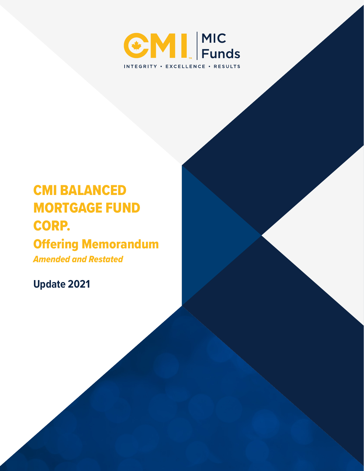

# CMI BALANCED MORTGAGE FUND CORP.

## Offering Memorandum

*Amended and Restated*

**Update 2021**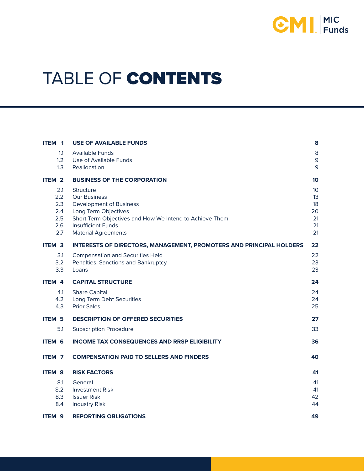

# TABLE OF CONTENTS

| ITEM <sub>1</sub>                             | <b>USE OF AVAILABLE FUNDS</b>                                                                                                                                                                                           | 8                                                   |
|-----------------------------------------------|-------------------------------------------------------------------------------------------------------------------------------------------------------------------------------------------------------------------------|-----------------------------------------------------|
| 1.1<br>1.2<br>1.3                             | <b>Available Funds</b><br>Use of Available Funds<br>Reallocation                                                                                                                                                        | 8<br>$\mathsf 9$<br>9                               |
| ITEM <sub>2</sub>                             | <b>BUSINESS OF THE CORPORATION</b>                                                                                                                                                                                      | 10 <sup>°</sup>                                     |
| 2.1<br>2.2<br>2.3<br>2.4<br>2.5<br>2.6<br>2.7 | <b>Structure</b><br><b>Our Business</b><br><b>Development of Business</b><br>Long Term Objectives<br>Short Term Objectives and How We Intend to Achieve Them<br><b>Insufficient Funds</b><br><b>Material Agreements</b> | 10 <sup>°</sup><br>13<br>18<br>20<br>21<br>21<br>21 |
| <b>ITEM 3</b>                                 | <b>INTERESTS OF DIRECTORS, MANAGEMENT, PROMOTERS AND PRINCIPAL HOLDERS</b>                                                                                                                                              | 22                                                  |
| 3.1<br>3.2<br>3.3                             | <b>Compensation and Securities Held</b><br>Penalties, Sanctions and Bankruptcy<br>Loans                                                                                                                                 | 22<br>23<br>23                                      |
| ITEM 4                                        | <b>CAPITAL STRUCTURE</b>                                                                                                                                                                                                | 24                                                  |
| 4.1<br>4.2<br>4.3                             | <b>Share Capital</b><br>Long Term Debt Securities<br><b>Prior Sales</b>                                                                                                                                                 | 24<br>24<br>25                                      |
| <b>ITEM 5</b>                                 | <b>DESCRIPTION OF OFFERED SECURITIES</b>                                                                                                                                                                                | 27                                                  |
| 5.1                                           | <b>Subscription Procedure</b>                                                                                                                                                                                           | 33                                                  |
| <b>ITEM 6</b>                                 | <b>INCOME TAX CONSEQUENCES AND RRSP ELIGIBILITY</b>                                                                                                                                                                     | 36                                                  |
| ITEM <sub>7</sub>                             | <b>COMPENSATION PAID TO SELLERS AND FINDERS</b>                                                                                                                                                                         | 40                                                  |
| <b>ITEM 8</b>                                 | <b>RISK FACTORS</b>                                                                                                                                                                                                     | 41                                                  |
| 8.1<br>8.2                                    | General<br><b>Investment Risk</b>                                                                                                                                                                                       | 41<br>41                                            |
| 8.3<br>8.4                                    | <b>Issuer Risk</b><br><b>Industry Risk</b>                                                                                                                                                                              | 42<br>44                                            |
| ITEM <sub>9</sub>                             | <b>REPORTING OBLIGATIONS</b>                                                                                                                                                                                            | 49                                                  |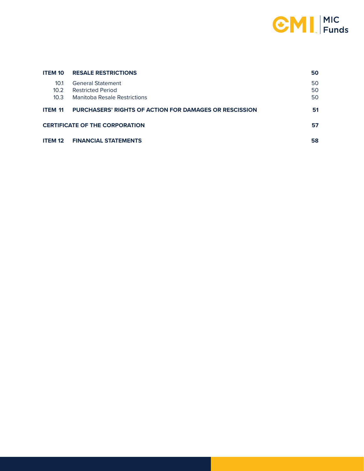

| <b>ITEM 10</b>            | <b>RESALE RESTRICTIONS</b>                                    | 50       |
|---------------------------|---------------------------------------------------------------|----------|
| 10.1                      | <b>General Statement</b>                                      | 50       |
| 10.2 <sup>2</sup><br>10.3 | <b>Restricted Period</b><br>Manitoba Resale Restrictions      | 50<br>50 |
| <b>ITEM 11</b>            | <b>PURCHASERS' RIGHTS OF ACTION FOR DAMAGES OR RESCISSION</b> | 51       |
|                           | <b>CERTIFICATE OF THE CORPORATION</b>                         | 57       |
| <b>ITEM 12</b>            | <b>FINANCIAL STATEMENTS</b>                                   | 58       |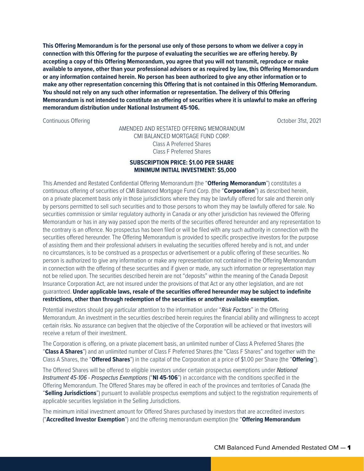**This Offering Memorandum is for the personal use only of those persons to whom we deliver a copy in connection with this Offering for the purpose of evaluating the securities we are offering hereby. By accepting a copy of this Offering Memorandum, you agree that you will not transmit, reproduce or make available to anyone, other than your professional advisors or as required by law, this Offering Memorandum or any information contained herein. No person has been authorized to give any other information or to make any other representation concerning this Offering that is not contained in this Offering Memorandum. You should not rely on any such other information or representation. The delivery of this Offering Memorandum is not intended to constitute an offering of securities where it is unlawful to make an offering memorandum distribution under National Instrument 45-106.**

Continuous Offering **Continuous Offering** Continuous Offering **Continuous** October 31st, 2021

#### AMENDED AND RESTATED OFFERING MEMORANDUM CMI BALANCED MORTGAGE FUND CORP. Class A Preferred Shares Class F Preferred Shares

#### **SUBSCRIPTION PRICE: \$1.00 PER SHARE MINIMUM INITIAL INVESTMENT: \$5,000**

This Amended and Restated Confidential Offering Memorandum (the "**Offering Memorandum**") constitutes a continuous offering of securities of CMI Balanced Mortgage Fund Corp. (the "**Corporation**") as described herein, on a private placement basis only in those jurisdictions where they may be lawfully offered for sale and therein only by persons permitted to sell such securities and to those persons to whom they may be lawfully offered for sale. No securities commission or similar regulatory authority in Canada or any other jurisdiction has reviewed the Offering Memorandum or has in any way passed upon the merits of the securities offered hereunder and any representation to the contrary is an offence. No prospectus has been filed or will be filed with any such authority in connection with the securities offered hereunder. The Offering Memorandum is provided to specific prospective investors for the purpose of assisting them and their professional advisers in evaluating the securities offered hereby and is not, and under no circumstances, is to be construed as a prospectus or advertisement or a public offering of these securities. No person is authorized to give any information or make any representation not contained in the Offering Memorandum in connection with the offering of these securities and if given or made, any such information or representation may not be relied upon. The securities described herein are not "deposits" within the meaning of the Canada Deposit Insurance Corporation Act, are not insured under the provisions of that Act or any other legislation, and are not guaranteed. **Under applicable laws, resale of the securities offered hereunder may be subject to indefinite restrictions, other than through redemption of the securities or another available exemption.**

Potential investors should pay particular attention to the information under "*Risk Factors*" in the Offering Memorandum. An investment in the securities described herein requires the financial ability and willingness to accept certain risks. No assurance can begiven that the objective of the Corporation will be achieved or that investors will receive a return of their investment.

The Corporation is offering, on a private placement basis, an unlimited number of Class A Preferred Shares (the "**Class A Shares**") and an unlimited number of Class F Preferred Shares (the "Class F Shares" and together with the Class A Shares, the "**Offered Shares**") in the capital of the Corporation at a price of \$1.00 per Share (the "**Offering**").

The Offered Shares will be offered to eligible investors under certain prospectus exemptions under *National Instrument 45-106 - Prospectus Exemptions* ("**NI 45-106**") in accordance with the conditions specified in the Offering Memorandum. The Offered Shares may be offered in each of the provinces and territories of Canada (the "**Selling Jurisdictions**") pursuant to available prospectus exemptions and subject to the registration requirements of applicable securities legislation in the Selling Jurisdictions.

The minimum initial investment amount for Offered Shares purchased by investors that are accredited investors ("**Accredited Investor Exemption**") and the offering memorandum exemption (the "**Offering Memorandum**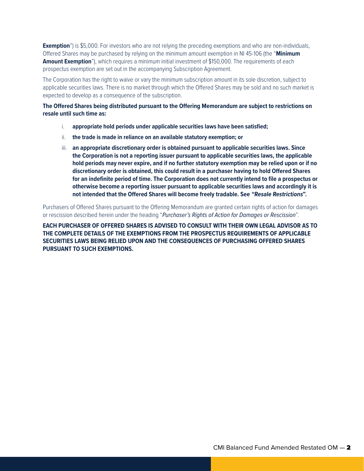**Exemption**") is \$5,000. For investors who are not relying the preceding exemptions and who are non-individuals, Offered Shares may be purchased by relying on the minimum amount exemption in NI 45-106 (the "**Minimum Amount Exemption**"), which requires a minimum initial investment of \$150,000. The requirements of each prospectus exemption are set out in the accompanying Subscription Agreement.

The Corporation has the right to waive or vary the minimum subscription amount in its sole discretion, subject to applicable securities laws. There is no market through which the Offered Shares may be sold and no such market is expected to develop as a consequence of the subscription.

**The Offered Shares being distributed pursuant to the Offering Memorandum are subject to restrictions on resale until such time as:**

- i. **appropriate hold periods under applicable securities laws have been satisfied;**
- ii. **the trade is made in reliance on an available statutory exemption; or**
- iii. **an appropriate discretionary order is obtained pursuant to applicable securities laws. Since the Corporation is not a reporting issuer pursuant to applicable securities laws, the applicable hold periods may never expire, and if no further statutory exemption may be relied upon or if no discretionary order is obtained, this could result in a purchaser having to hold Offered Shares for an indefinite period of time. The Corporation does not currently intend to file a prospectus or otherwise become a reporting issuer pursuant to applicable securities laws and accordingly it is not intended that the Offered Shares will become freely tradable. See "Resale Restrictions".**

Purchasers of Offered Shares pursuant to the Offering Memorandum are granted certain rights of action for damages or rescission described herein under the heading "*Purchaser's Rights of Action for Damages or Rescission*".

**EACH PURCHASER OF OFFERED SHARES IS ADVISED TO CONSULT WITH THEIR OWN LEGAL ADVISOR AS TO THE COMPLETE DETAILS OF THE EXEMPTIONS FROM THE PROSPECTUS REQUIREMENTS OF APPLICABLE SECURITIES LAWS BEING RELIED UPON AND THE CONSEQUENCES OF PURCHASING OFFERED SHARES PURSUANT TO SUCH EXEMPTIONS.**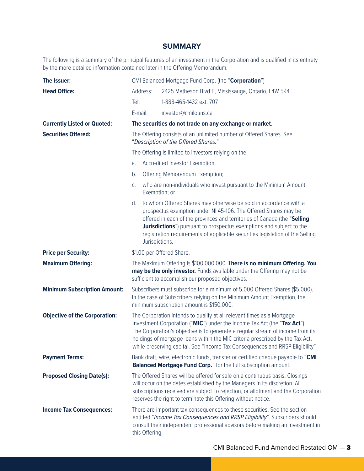### **SUMMARY**

The following is a summary of the principal features of an investment in the Corporation and is qualified in its entirety by the more detailed information contained later in the Offering Memorandum.

| The Issuer:                          | CMI Balanced Mortgage Fund Corp. (the "Corporation")                                                                                                                                                                                                                                                                                                                                                  |                |                                                                                                                                                                                                                                                                                                                                                                                   |
|--------------------------------------|-------------------------------------------------------------------------------------------------------------------------------------------------------------------------------------------------------------------------------------------------------------------------------------------------------------------------------------------------------------------------------------------------------|----------------|-----------------------------------------------------------------------------------------------------------------------------------------------------------------------------------------------------------------------------------------------------------------------------------------------------------------------------------------------------------------------------------|
| <b>Head Office:</b>                  |                                                                                                                                                                                                                                                                                                                                                                                                       | Address:       | 2425 Matheson Blvd E, Mississauga, Ontario, L4W 5K4                                                                                                                                                                                                                                                                                                                               |
|                                      | Tel:                                                                                                                                                                                                                                                                                                                                                                                                  |                | 1-888-465-1432 ext. 707                                                                                                                                                                                                                                                                                                                                                           |
|                                      | E-mail:                                                                                                                                                                                                                                                                                                                                                                                               |                | investor@cmiloans.ca                                                                                                                                                                                                                                                                                                                                                              |
| <b>Currently Listed or Quoted:</b>   |                                                                                                                                                                                                                                                                                                                                                                                                       |                | The securities do not trade on any exchange or market.                                                                                                                                                                                                                                                                                                                            |
| <b>Securities Offered:</b>           |                                                                                                                                                                                                                                                                                                                                                                                                       |                | The Offering consists of an unlimited number of Offered Shares. See<br>"Description of the Offered Shares."                                                                                                                                                                                                                                                                       |
|                                      |                                                                                                                                                                                                                                                                                                                                                                                                       |                | The Offering is limited to investors relying on the                                                                                                                                                                                                                                                                                                                               |
|                                      | a.                                                                                                                                                                                                                                                                                                                                                                                                    |                | Accredited Investor Exemption;                                                                                                                                                                                                                                                                                                                                                    |
|                                      | b.                                                                                                                                                                                                                                                                                                                                                                                                    |                | Offering Memorandum Exemption;                                                                                                                                                                                                                                                                                                                                                    |
|                                      | C.                                                                                                                                                                                                                                                                                                                                                                                                    |                | who are non-individuals who invest pursuant to the Minimum Amount<br>Exemption; or                                                                                                                                                                                                                                                                                                |
|                                      | d.                                                                                                                                                                                                                                                                                                                                                                                                    | Jurisdictions. | to whom Offered Shares may otherwise be sold in accordance with a<br>prospectus exemption under NI 45-106. The Offered Shares may be<br>offered in each of the provinces and territories of Canada (the "Selling<br><b>Jurisdictions</b> ") pursuant to prospectus exemptions and subject to the<br>registration requirements of applicable securities legislation of the Selling |
| <b>Price per Security:</b>           | \$1.00 per Offered Share.                                                                                                                                                                                                                                                                                                                                                                             |                |                                                                                                                                                                                                                                                                                                                                                                                   |
| <b>Maximum Offering:</b>             | The Maximum Offering is \$100,000,000. There is no minimum Offering. You<br>may be the only investor. Funds available under the Offering may not be<br>sufficient to accomplish our proposed objectives.                                                                                                                                                                                              |                |                                                                                                                                                                                                                                                                                                                                                                                   |
| <b>Minimum Subscription Amount:</b>  | Subscribers must subscribe for a minimum of 5,000 Offered Shares (\$5,000).<br>In the case of Subscribers relying on the Minimum Amount Exemption, the<br>minimum subscription amount is \$150,000.                                                                                                                                                                                                   |                |                                                                                                                                                                                                                                                                                                                                                                                   |
| <b>Objective of the Corporation:</b> | The Corporation intends to qualify at all relevant times as a Mortgage<br>Investment Corporation ("MIC") under the Income Tax Act (the "Tax Act").<br>The Corporation's objective is to generate a regular stream of income from its<br>holdings of mortgage loans within the MIC criteria prescribed by the Tax Act,<br>while preserving capital. See "Income Tax Consequences and RRSP Eligibility" |                |                                                                                                                                                                                                                                                                                                                                                                                   |
| <b>Payment Terms:</b>                | Bank draft, wire, electronic funds, transfer or certified cheque payable to "CMI<br>Balanced Mortgage Fund Corp." for the full subscription amount.                                                                                                                                                                                                                                                   |                |                                                                                                                                                                                                                                                                                                                                                                                   |
| <b>Proposed Closing Date(s):</b>     | The Offered Shares will be offered for sale on a continuous basis. Closings<br>will occur on the dates established by the Managers in its discretion. All<br>subscriptions received are subject to rejection, or allotment and the Corporation<br>reserves the right to terminate this Offering without notice.                                                                                       |                |                                                                                                                                                                                                                                                                                                                                                                                   |
| <b>Income Tax Consequences:</b>      |                                                                                                                                                                                                                                                                                                                                                                                                       | this Offering. | There are important tax consequences to these securities. See the section<br>entitled "Income Tax Consequences and RRSP Eligibility". Subscribers should<br>consult their independent professional advisors before making an investment in                                                                                                                                        |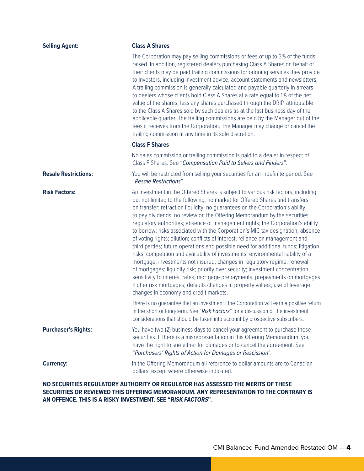| <b>Selling Agent:</b>       | <b>Class A Shares</b>                                                                                                                                                                                                                                                                                                                                                                                                                                                                                                                                                                                                                                                                                                                                                                                                                                                                                                                                                                                                                                                                                                                      |
|-----------------------------|--------------------------------------------------------------------------------------------------------------------------------------------------------------------------------------------------------------------------------------------------------------------------------------------------------------------------------------------------------------------------------------------------------------------------------------------------------------------------------------------------------------------------------------------------------------------------------------------------------------------------------------------------------------------------------------------------------------------------------------------------------------------------------------------------------------------------------------------------------------------------------------------------------------------------------------------------------------------------------------------------------------------------------------------------------------------------------------------------------------------------------------------|
|                             | The Corporation may pay selling commissions or fees of up to 3% of the funds<br>raised. In addition, registered dealers purchasing Class A Shares on behalf of<br>their clients may be paid trailing commissions for ongoing services they provide<br>to investors, including investment advice, account statements and newsletters.<br>A trailing commission is generally calculated and payable quarterly in arrears<br>to dealers whose clients hold Class A Shares at a rate equal to 1% of the net<br>value of the shares, less any shares purchased through the DRIP, attributable<br>to the Class A Shares sold by such dealers as at the last business day of the<br>applicable quarter. The trailing commissions are paid by the Manager out of the<br>fees it receives from the Corporation. The Manager may change or cancel the<br>trailing commission at any time in its sole discretion.                                                                                                                                                                                                                                     |
|                             | <b>Class F Shares</b>                                                                                                                                                                                                                                                                                                                                                                                                                                                                                                                                                                                                                                                                                                                                                                                                                                                                                                                                                                                                                                                                                                                      |
|                             | No sales commission or trailing commission is paid to a dealer in respect of<br>Class F Shares. See "Compensation Paid to Sellers and Finders".                                                                                                                                                                                                                                                                                                                                                                                                                                                                                                                                                                                                                                                                                                                                                                                                                                                                                                                                                                                            |
| <b>Resale Restrictions:</b> | You will be restricted from selling your securities for an indefinite period. See<br>"Resale Restrictions".                                                                                                                                                                                                                                                                                                                                                                                                                                                                                                                                                                                                                                                                                                                                                                                                                                                                                                                                                                                                                                |
| <b>Risk Factors:</b>        | An investment in the Offered Shares is subject to various risk factors, including<br>but not limited to the following: no market for Offered Shares and transfers<br>on transfer; retraction liquidity; no quarantees on the Corporation's ability<br>to pay dividends; no review on the Offering Memorandum by the securities<br>regulatory authorities; absence of management rights; the Corporation's ability<br>to borrow; risks associated with the Corporation's MIC tax designation; absence<br>of voting rights; dilution; conflicts of interest; reliance on management and<br>third parties; future operations and possible need for additional funds; litigation<br>risks; competition and availability of investments; environmental liability of a<br>mortgage; investments not insured; changes in regulatory regime; renewal<br>of mortgages; liquidity risk; priority over security; investment concentration;<br>sensitivity to interest rates; mortgage prepayments; prepayments on mortgages<br>higher risk mortgages; defaults changes in property values; use of leverage;<br>changes in economy and credit markets. |
|                             | There is no guarantee that an investment I the Corporation will earn a positive return<br>in the short or long-term. See "Risk Factors" for a discussion of the investment<br>considerations that should be taken into account by prospective subscribers.                                                                                                                                                                                                                                                                                                                                                                                                                                                                                                                                                                                                                                                                                                                                                                                                                                                                                 |
| <b>Purchaser's Rights:</b>  | You have two (2) business days to cancel your agreement to purchase these<br>securities. If there is a misrepresentation in this Offering Memorandum, you<br>have the right to sue either for damages or to cancel the agreement. See<br>"Purchasers' Rights of Action for Damages or Rescission".                                                                                                                                                                                                                                                                                                                                                                                                                                                                                                                                                                                                                                                                                                                                                                                                                                         |
| <b>Currency:</b>            | In the Offering Memorandum all reference to dollar amounts are to Canadian<br>dollars, except where otherwise indicated.                                                                                                                                                                                                                                                                                                                                                                                                                                                                                                                                                                                                                                                                                                                                                                                                                                                                                                                                                                                                                   |

### **NO SECURITIES REGULATORY AUTHORITY OR REGULATOR HAS ASSESSED THE MERITS OF THESE SECURITIES OR REVIEWED THIS OFFERING MEMORANDUM. ANY REPRESENTATION TO THE CONTRARY IS AN OFFENCE. THIS IS A RISKY INVESTMENT. SEE "RISK FACTORS".**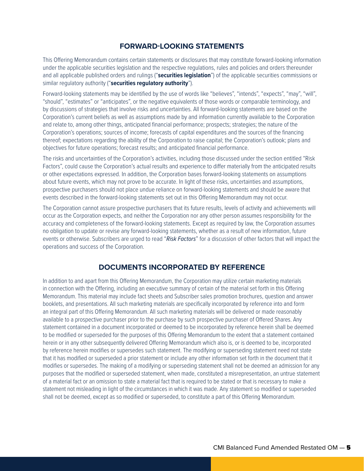### **FORWARD-LOOKING STATEMENTS**

This Offering Memorandum contains certain statements or disclosures that may constitute forward-looking information under the applicable securities legislation and the respective regulations, rules and policies and orders thereunder and all applicable published orders and rulings ("**securities legislation**") of the applicable securities commissions or similar regulatory authority ("**securities regulatory authority**").

Forward-looking statements may be identified by the use of words like "believes", "intends", "expects", "may", "will", "should", "estimates" or "anticipates", or the negative equivalents of those words or comparable terminology, and by discussions of strategies that involve risks and uncertainties. All forward-looking statements are based on the Corporation's current beliefs as well as assumptions made by and information currently available to the Corporation and relate to, among other things, anticipated financial performance; prospects; strategies; the nature of the Corporation's operations; sources of income; forecasts of capital expenditures and the sources of the financing thereof; expectations regarding the ability of the Corporation to raise capital; the Corporation's outlook; plans and objectives for future operations; forecast results; and anticipated financial performance.

The risks and uncertainties of the Corporation's activities, including those discussed under the section entitled "Risk Factors", could cause the Corporation's actual results and experience to differ materially from the anticipated results or other expectations expressed. In addition, the Corporation bases forward-looking statements on assumptions about future events, which may not prove to be accurate. In light of these risks, uncertainties and assumptions, prospective purchasers should not place undue reliance on forward-looking statements and should be aware that events described in the forward-looking statements set out in this Offering Memorandum may not occur.

The Corporation cannot assure prospective purchasers that its future results, levels of activity and achievements will occur as the Corporation expects, and neither the Corporation nor any other person assumes responsibility for the accuracy and completeness of the forward-looking statements. Except as required by law, the Corporation assumes no obligation to update or revise any forward-looking statements, whether as a result of new information, future events or otherwise. Subscribers are urged to read "*Risk Factors*" for a discussion of other factors that will impact the operations and success of the Corporation.

## **DOCUMENTS INCORPORATED BY REFERENCE**

In addition to and apart from this Offering Memorandum, the Corporation may utilize certain marketing materials in connection with the Offering, including an executive summary of certain of the material set forth in this Offering Memorandum. This material may include fact sheets and Subscriber sales promotion brochures, question and answer booklets, and presentations. All such marketing materials are specifically incorporated by reference into and form an integral part of this Offering Memorandum. All such marketing materials will be delivered or made reasonably available to a prospective purchaser prior to the purchase by such prospective purchaser of Offered Shares. Any statement contained in a document incorporated or deemed to be incorporated by reference herein shall be deemed to be modified or superseded for the purposes of this Offering Memorandum to the extent that a statement contained herein or in any other subsequently delivered Offering Memorandum which also is, or is deemed to be, incorporated by reference herein modifies or supersedes such statement. The modifying or superseding statement need not state that it has modified or superseded a prior statement or include any other information set forth in the document that it modifies or supersedes. The making of a modifying or superseding statement shall not be deemed an admission for any purposes that the modified or superseded statement, when made, constituted a misrepresentation, an untrue statement of a material fact or an omission to state a material fact that is required to be stated or that is necessary to make a statement not misleading in light of the circumstances in which it was made. Any statement so modified or superseded shall not be deemed, except as so modified or superseded, to constitute a part of this Offering Memorandum.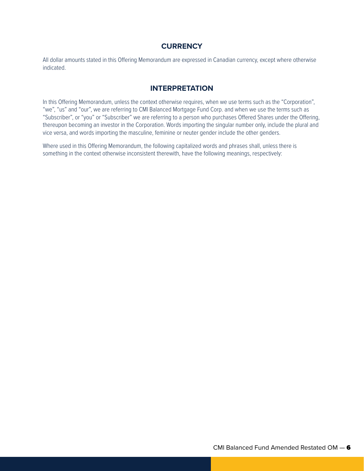## **CURRENCY**

All dollar amounts stated in this Offering Memorandum are expressed in Canadian currency, except where otherwise indicated.

### **INTERPRETATION**

In this Offering Memorandum, unless the context otherwise requires, when we use terms such as the "Corporation", "we", "us" and "our", we are referring to CMI Balanced Mortgage Fund Corp. and when we use the terms such as "Subscriber", or "you" or "Subscriber" we are referring to a person who purchases Offered Shares under the Offering, thereupon becoming an investor in the Corporation. Words importing the singular number only, include the plural and vice versa, and words importing the masculine, feminine or neuter gender include the other genders.

Where used in this Offering Memorandum, the following capitalized words and phrases shall, unless there is something in the context otherwise inconsistent therewith, have the following meanings, respectively: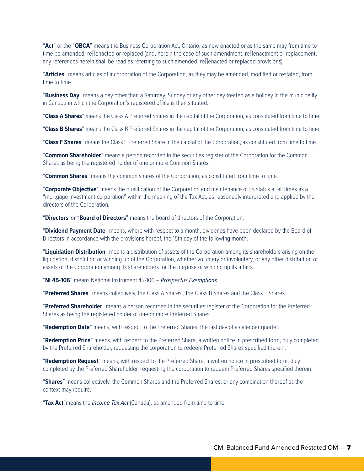"**Act**" or the "**OBCA**" means the Business Corporation Act, Ontario, as now enacted or as the same may from time to time be amended, reenacted or replaced (and, herein the case of such amendment, reenactment or replacement, any references herein shall be read as referring to such amended, reenacted or replaced provisions).

"**Articles**" means articles of incorporation of the Corporation, as they may be amended, modified or restated, from time to time.

"**Business Day**" means a day other than a Saturday, Sunday or any other day treated as a holiday in the municipality in Canada in which the Corporation's registered office is then situated.

"**Class A Shares**" means the Class A Preferred Shares in the capital of the Corporation, as constituted from time to time.

"**Class B Shares**" means the Class B Preferred Shares in the capital of the Corporation, as constituted from time to time.

"**Class F Shares**" means the Class F Preferred Share in the capital of the Corporation, as constituted from time to time.

"**Common Shareholder**" means a person recorded in the securities register of the Corporation for the Common Shares as being the registered holder of one or more Common Shares.

"**Common Shares**" means the common shares of the Corporation, as constituted from time to time.

"**Corporate Objective**" means the qualification of the Corporation and maintenance of its status at all times as a "mortgage investment corporation" within the meaning of the Tax Act, as reasonably interpreted and applied by the directors of the Corporation.

"**Directors**"or "**Board of Directors**" means the board of directors of the Corporation.

"**Dividend Payment Date**" means, where with respect to a month, dividends have been declared by the Board of Directors in accordance with the provisions hereof, the 15th day of the following month.

"**Liquidation Distribution**" means a distribution of assets of the Corporation among its shareholders arising on the liquidation, dissolution or winding up of the Corporation, whether voluntary or involuntary, or any other distribution of assets of the Corporation among its shareholders for the purpose of winding up its affairs.

"**NI 45-106**" means National Instrument 45-106 – *Prospectus Exemptions.*

"**Preferred Shares**" means collectively, the Class A Shares , the Class B Shares and the Class F Shares.

"**Preferred Shareholder**" means a person recorded in the securities register of the Corporation for the Preferred Shares as being the registered holder of one or more Preferred Shares.

"**Redemption Date**" means, with respect to the Preferred Shares, the last day of a calendar quarter.

"**Redemption Price**" means, with respect to the Preferred Share, a written notice in prescribed form, duly completed by the Preferred Shareholder, requesting the corporation to redeem Preferred Shares specified therein.

"**Redemption Request**" means, with respect to the Preferred Share, a written notice in prescribed form, duly completed by the Preferred Shareholder, requesting the corporation to redeem Preferred Shares specified therein.

"**Shares**" means collectively, the Common Shares and the Preferred Shares, or any combination thereof as the context may require.

"**Tax Act**"means the *Income Tax Act* (Canada), as amended from time to time.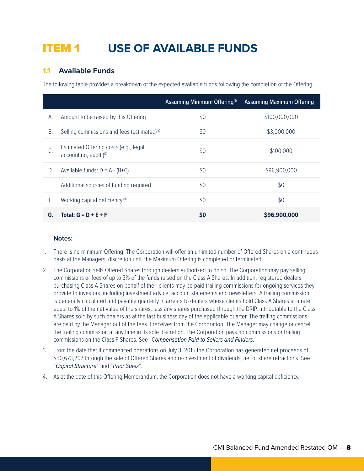## ITEM 1 **USE OF AVAILABLE FUNDS**

## **1.1 Available Funds**

The following table provides a breakdown of the expected available funds following the completion of the Offering:

|    |                                                                  | Assuming Minimum Offering <sup>(1)</sup> | <b>Assuming Maximum Offering</b> |
|----|------------------------------------------------------------------|------------------------------------------|----------------------------------|
| А. | Amount to be raised by this Offering                             | \$0                                      | \$100,000,000                    |
| Β. | Selling commissions and fees (estimated) <sup>(2)</sup>          | \$0                                      | \$3,000,000                      |
|    | Estimated Offering costs (e.g., legal,<br>accounting, audit.)(3) | \$0                                      | \$100,000                        |
| D. | Available funds: $D = A - (B+C)$                                 | \$0                                      | \$96,900,000                     |
| Ε. | Additional sources of funding required                           | \$0                                      | \$0                              |
| F. | Working capital deficiency <sup>(4)</sup>                        | \$0                                      | \$0                              |
| G. | Total: $G = D + E + F$                                           | S <sub>0</sub>                           | \$96,900,000                     |

#### **Notes:**

- 1. There is no minimum Offering. The Corporation will offer an unlimited number of Offered Shares on a continuous basis at the Managers' discretion until the Maximum Offering is completed or terminated.
- 2. The Corporation sells Offered Shares through dealers authorized to do so. The Corporation may pay selling commissions or fees of up to 3% of the funds raised on the Class A Shares. In addition, registered dealers purchasing Class A Shares on behalf of their clients may be paid trailing commissions for ongoing services they provide to investors, including investment advice, account statements and newsletters. A trailing commission is generally calculated and payable quarterly in arrears to dealers whose clients hold Class A Shares at a rate equal to 1% of the net value of the shares, less any shares purchased through the DRIP, attributable to the Class A Shares sold by such dealers as at the last business day of the applicable quarter. The trailing commissions are paid by the Manager out of the fees it receives from the Corporation. The Manager may change or cancel the trailing commission at any time in its sole discretion. The Corporation pays no commissions or trailing commissions on the Class F Shares. See "C*ompensation Paid to Sellers and Finders.*"
- 3. From the date that it commenced operations on July 3, 2015 the Corporation has generated net proceeds of \$50,673,207 through the sale of Offered Shares and re-investment of dividends, net of share retractions. See "*Capital Structure*" and "*Prior Sales*".
- 4. As at the date of this Offering Memorandum, the Corporation does not have a working capital deficiency.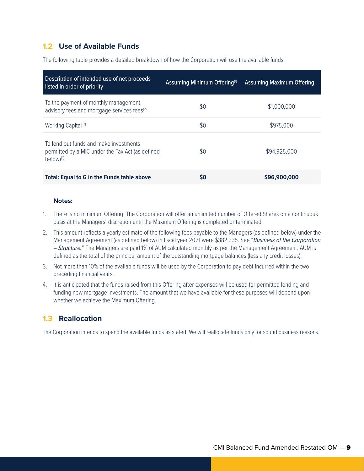## **1.2 Use of Available Funds**

The following table provides a detailed breakdown of how the Corporation will use the available funds:

| Description of intended use of net proceeds<br>listed in order of priority                                   | Assuming Minimum Offering <sup>(1)</sup> | Assuming Maximum Offering |
|--------------------------------------------------------------------------------------------------------------|------------------------------------------|---------------------------|
| To the payment of monthly management,<br>advisory fees and mortgage services fees <sup>(2)</sup>             | \$0                                      | \$1,000,000               |
| Working Capital <sup>(3)</sup>                                                                               | \$0                                      | \$975,000                 |
| To lend out funds and make investments<br>permitted by a MIC under the Tax Act (as defined<br>$below)^{(4)}$ | \$0                                      | \$94,925,000              |
| <b>Total: Equal to G in the Funds table above</b>                                                            | S0                                       | \$96,900,000              |

#### **Notes:**

- 1. There is no minimum Offering. The Corporation will offer an unlimited number of Offered Shares on a continuous basis at the Managers' discretion until the Maximum Offering is completed or terminated.
- 2. This amount reflects a yearly estimate of the following fees payable to the Managers (as defined below) under the Management Agreement (as defined below) in fiscal year 2021 were \$382,335. See "*Business of the Corporation – Structure.*" The Managers are paid 1% of AUM calculated monthly as per the Management Agreement. AUM is defined as the total of the principal amount of the outstanding mortgage balances (less any credit losses).
- 3. Not more than 10% of the available funds will be used by the Corporation to pay debt incurred within the two preceding financial years.
- 4. It is anticipated that the funds raised from this Offering after expenses will be used for permitted lending and funding new mortgage investments. The amount that we have available for these purposes will depend upon whether we achieve the Maximum Offering.

## **1.3 Reallocation**

The Corporation intends to spend the available funds as stated. We will reallocate funds only for sound business reasons.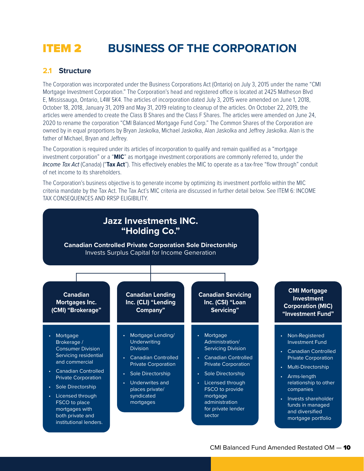## ITEM 2 **BUSINESS OF THE CORPORATION**

### **2.1 Structure**

The Corporation was incorporated under the Business Corporations Act (Ontario) on July 3, 2015 under the name "CMI Mortgage Investment Corporation." The Corporation's head and registered office is located at 2425 Matheson Blvd E, Mississauga, Ontario, L4W 5K4. The articles of incorporation dated July 3, 2015 were amended on June 1, 2018, October 18, 2018, January 31, 2019 and May 31, 2019 relating to cleanup of the articles. On October 22, 2019, the articles were amended to create the Class B Shares and the Class F Shares. The articles were amended on June 24, 2020 to rename the corporation "CMI Balanced Mortgage Fund Corp." The Common Shares of the Corporation are owned by in equal proportions by Bryan Jaskolka, Michael Jaskolka, Alan Jaskolka and Jeffrey Jaskolka. Alan is the father of Michael, Bryan and Jeffrey.

The Corporation is required under its articles of incorporation to qualify and remain qualified as a "mortgage investment corporation" or a "**MIC**" as mortgage investment corporations are commonly referred to, under the *Income Tax Act* (Canada) ("**Tax Act**"). This effectively enables the MIC to operate as a tax-free "flow through" conduit of net income to its shareholders.

The Corporation's business objective is to generate income by optimizing its investment portfolio within the MIC criteria mandate by the Tax Act. The Tax Act's MIC criteria are discussed in further detail below. See ITEM 6: INCOME TAX CONSEQUENCES AND RRSP ELIGIBILITY.

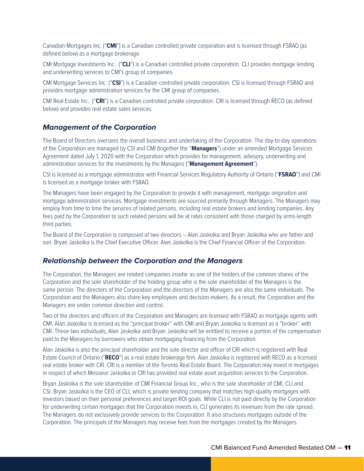Canadian Mortgages Inc. ("**CMI**") is a Canadian controlled private corporation and is licensed through FSRAO (as defined below) as a mortgage brokerage.

CMI Mortgage Investments Inc.. ("**CLI**") is a Canadian controlled private corporation. CLI provides mortgage lending and underwriting services to CMI's group of companies.

CMI Mortgage Services Inc. ("**CSI**") is a Canadian controlled private corporation. CSI is licensed through FSRAO and provides mortgage administration services for the CMI group of companies.

CMI Real Estate Inc.. ("**CRI**") is a Canadian controlled private corporation. CRI is licensed through RECO (as defined below) and provides real estate sales services.

#### *Management of the Corporation*

The Board of Directors oversees the overall business and undertaking of the Corporation. The day-to-day operations of the Corporation are managed by CSI and CMI (together the "**Managers**") under an amended Mortgage Services Agreement dated July 1, 2020 with the Corporation which provides for management, advisory, underwriting and administration services for the investments by the Managers ("**Management Agreement**").

CSI is licensed as a mortgage administrator with Financial Services Regulatory Authority of Ontario ("**FSRAO**") and CMI is licensed as a mortgage broker with FSRAO.

The Managers have been engaged by the Corporation to provide it with management, mortgage origination and mortgage administration services. Mortgage investments are sourced primarily through Managers. The Managers may employ from time to time the services of related persons, including real estate brokers and lending companies. Any fees paid by the Corporation to such related persons will be at rates consistent with those charged by arms-length third parties.

The Board of the Corporation is composed of two directors – Alan Jaskolka and Bryan Jaskolka who are father and son. Bryan Jaskolka is the Chief Executive Officer. Alan Jaskolka is the Chief Financial Officer of the Corporation.

#### *Relationship between the Corporation and the Managers*

The Corporation, the Managers are related companies insofar as one of the holders of the common shares of the Corporation and the sole shareholder of the holding group who is the sole shareholder of the Managers is the same person. The directors of the Corporation and the directors of the Managers are also the same individuals. The Corporation and the Managers also share key employees and decision-makers. As a result, the Corporation and the Managers are under common direction and control.

Two of the directors and officers of the Corporation and Managers are licensed with FSRAO as mortgage agents with CMI. Alan Jaskolka is licensed as the "principal broker" with CMI and Bryan Jaskolka is licensed as a "broker" with CMI. These two individuals, Alan Jaskolka and Bryan Jaskolka will be entitled to receive a portion of the compensation paid to the Managers by borrowers who obtain mortgaging financing from the Corporation.

Alan Jaskolka is also the principal shareholder and the sole director and officer of CRI which is registered with Real Estate Council of Ontario ("**RECO**") as a real estate brokerage firm. Alan Jaskolka is registered with RECO as a licensed real estate broker with CRI. CRI is a member of the Toronto Real Estate Board. The Corporation may invest in mortgages in respect of which Messieur Jaskolka or CRI has provided real estate asset acquisition services to the Corporation.

Bryan Jaskolka is the sole shareholder of CMI Financial Group Inc., who is the sole shareholder of CMI, CLI and CSI. Bryan Jaskolka is the CEO of CLI, which is private lending company that matches high-quality mortgages with investors based on their personal preferences and target ROI goals. While CLI is not paid directly by the Corporation for underwriting certain mortgages that the Corporation invests in, CLI generates its revenues from the rate spread. The Managers do not exclusively provide services to the Corporation. It also structures mortgages outside of the Corporation. The principals of the Managers may receive fees from the mortgages created by the Managers.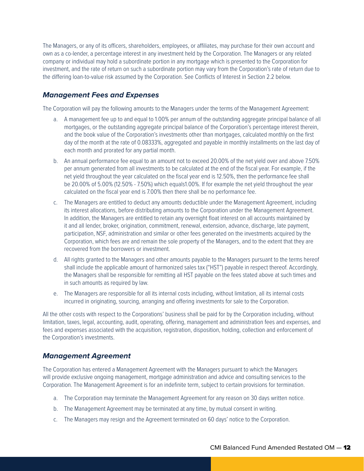The Managers, or any of its officers, shareholders, employees, or affiliates, may purchase for their own account and own as a co-lender, a percentage interest in any investment held by the Corporation. The Managers or any related company or individual may hold a subordinate portion in any mortgage which is presented to the Corporation for investment, and the rate of return on such a subordinate portion may vary from the Corporation's rate of return due to the differing loan-to-value risk assumed by the Corporation. See Conflicts of Interest in Section 2.2 below.

## *Management Fees and Expenses*

The Corporation will pay the following amounts to the Managers under the terms of the Management Agreement:

- a. A management fee up to and equal to 1.00% per annum of the outstanding aggregate principal balance of all mortgages, or the outstanding aggregate principal balance of the Corporation's percentage interest therein, and the book value of the Corporation's investments other than mortgages, calculated monthly on the first day of the month at the rate of 0.08333%, aggregated and payable in monthly installments on the last day of each month and prorated for any partial month.
- b. An annual performance fee equal to an amount not to exceed 20.00% of the net yield over and above 7.50% per annum generated from all investments to be calculated at the end of the fiscal year. For example, if the net yield throughout the year calculated on the fiscal year end is 12.50%, then the performance fee shall be 20.00% of 5.00% (12.50% - 7.50%) which equals1.00%. If for example the net yield throughout the year calculated on the fiscal year end is 7.00% then there shall be no performance fee.
- c. The Managers are entitled to deduct any amounts deductible under the Management Agreement, including its interest allocations, before distributing amounts to the Corporation under the Management Agreement. In addition, the Managers are entitled to retain any overnight float interest on all accounts maintained by it and all lender, broker, origination, commitment, renewal, extension, advance, discharge, late payment, participation, NSF, administration and similar or other fees generated on the investments acquired by the Corporation, which fees are and remain the sole property of the Managers, and to the extent that they are recovered from the borrowers or investment.
- d. All rights granted to the Managers and other amounts payable to the Managers pursuant to the terms hereof shall include the applicable amount of harmonized sales tax ("HST") payable in respect thereof. Accordingly, the Managers shall be responsible for remitting all HST payable on the fees stated above at such times and in such amounts as required by law.
- e. The Managers are responsible for all its internal costs including, without limitation, all its internal costs incurred in originating, sourcing, arranging and offering investments for sale to the Corporation.

All the other costs with respect to the Corporations' business shall be paid for by the Corporation including, without limitation, taxes, legal, accounting, audit, operating, offering, management and administration fees and expenses, and fees and expenses associated with the acquisition, registration, disposition, holding, collection and enforcement of the Corporation's investments.

## *Management Agreement*

The Corporation has entered a Management Agreement with the Managers pursuant to which the Managers will provide exclusive ongoing management, mortgage administration and advice and consulting services to the Corporation. The Management Agreement is for an indefinite term, subject to certain provisions for termination.

- a. The Corporation may terminate the Management Agreement for any reason on 30 days written notice.
- b. The Management Agreement may be terminated at any time, by mutual consent in writing.
- c. The Managers may resign and the Agreement terminated on 60 days' notice to the Corporation.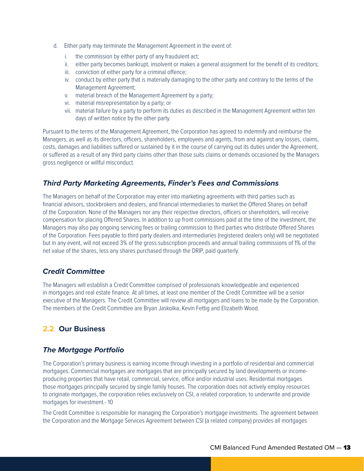- d. Either party may terminate the Management Agreement in the event of:
	- i. the commission by either party of any fraudulent act;
	- ii. either party becomes bankrupt, insolvent or makes a general assignment for the benefit of its creditors;
	- iii. conviction of either party for a criminal offence;
	- iv. conduct by either party that is materially damaging to the other party and contrary to the terms of the Management Agreement;
	- v. material breach of the Management Agreement by a party;
	- vi. material misrepresentation by a party; or
	- vii. material failure by a party to perform its duties as described in the Management Agreement within ten days of written notice by the other party.

Pursuant to the terms of the Management Agreement, the Corporation has agreed to indemnify and reimburse the Managers, as well as its directors, officers, shareholders, employees and agents, from and against any losses, claims, costs, damages and liabilities suffered or sustained by it in the course of carrying out its duties under the Agreement, or suffered as a result of any third party claims other than those suits claims or demands occasioned by the Managers gross negligence or willful misconduct.

## *Third Party Marketing Agreements, Finder's Fees and Commissions*

The Managers on behalf of the Corporation may enter into marketing agreements with third parties such as financial advisors, stockbrokers and dealers, and financial intermediaries to market the Offered Shares on behalf of the Corporation. None of the Managers nor any their respective directors, officers or shareholders, will receive compensation for placing Offered Shares. In addition to up front commissions paid at the time of the investment, the Managers may also pay ongoing servicing fees or trailing commission to third parties who distribute Offered Shares of the Corporation. Fees payable to third party dealers and intermediaries (registered dealers only) will be negotiated but in any event, will not exceed 3% of the gross subscription proceeds and annual trailing commissions of 1% of the net value of the shares, less any shares purchased through the DRIP, paid quarterly.

## *Credit Committee*

The Managers will establish a Credit Committee comprised of professionals knowledgeable and experienced in mortgages and real estate finance. At all times, at least one member of the Credit Committee will be a senior executive of the Managers. The Credit Committee will review all mortgages and loans to be made by the Corporation. The members of the Credit Committee are Bryan Jaskolka, Kevin Fettig and Elizabeth Wood.

## **2.2 Our Business**

## *The Mortgage Portfolio*

The Corporation's primary business is earning income through investing in a portfolio of residential and commercial mortgages. Commercial mortgages are mortgages that are principally secured by land developments or incomeproducing properties that have retail, commercial, service, office and/or industrial uses. Residential mortgages those mortgages principally secured by single family houses. The corporation does not actively employ resources to originate mortgages, the corporation relies exclusively on CSI, a related corporation, to underwrite and provide mortgages for investment.- 10

The Credit Committee is responsible for managing the Corporation's mortgage investments. The agreement between the Corporation and the Mortgage Services Agreement between CSI (a related company) provides all mortgages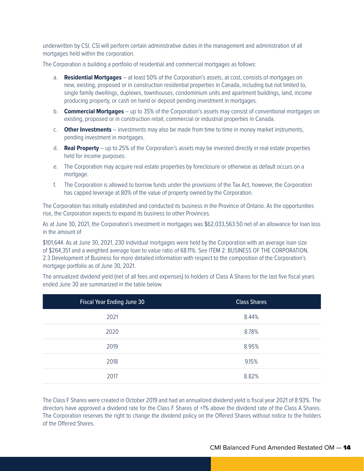underwritten by CSI. CSI will perform certain administrative duties in the management and administration of all mortgages held within the corporation.

The Corporation is building a portfolio of residential and commercial mortgages as follows:

- a. **Residential Mortgages** at least 50% of the Corporation's assets, at cost, consists of mortgages on new, existing, proposed or in construction residential properties in Canada, including but not limited to, single family dwellings, duplexes, townhouses, condominium units and apartment buildings, land, income producing property, or cash on hand or deposit pending investment in mortgages.
- b. **Commercial Mortgages** up to 35% of the Corporation's assets may consist of conventional mortgages on existing, proposed or in construction retail, commercial or industrial properties in Canada.
- c. **Other Investments** investments may also be made from time to time in money market instruments, pending investment in mortgages.
- d. **Real Property** up to 25% of the Corporation's assets may be invested directly in real estate properties held for income purposes.
- e. The Corporation may acquire real estate properties by foreclosure or otherwise as default occurs on a mortgage.
- f. The Corporation is allowed to borrow funds under the provisions of the Tax Act, however, the Corporation has capped leverage at 80% of the value of property owned by the Corporation.

The Corporation has initially established and conducted its business in the Province of Ontario. As the opportunities rise, the Corporation expects to expand its business to other Provinces.

As at June 30, 2021, the Corporation's investment in mortgages was \$62,033,563.50 net of an allowance for loan loss in the amount of

\$101,644. As at June 30, 2021, 230 individual mortgages were held by the Corporation with an average loan size of \$264,351 and a weighted average loan to value ratio of 68.11%. See ITEM 2: BUSINESS OF THE CORPORATION, 2.3 Development of Business for more detailed information with respect to the composition of the Corporation's mortgage portfolio as of June 30, 2021.

The annualized dividend yield (net of all fees and expenses) to holders of Class A Shares for the last five fiscal years ended June 30 are summarized in the table below.

| <b>Fiscal Year Ending June 30</b> | <b>Class Shares</b> |
|-----------------------------------|---------------------|
| 2021                              | 8.44%               |
| 2020                              | 8.78%               |
| 2019                              | 8.95%               |
| 2018                              | 9.15%               |
| 2017                              | 8.82%               |
|                                   |                     |

The Class F Shares were created in October 2019 and had an annualized dividend yield is fiscal year 2021 of 8.93%. The directors have approved a dividend rate for the Class F Shares of +1% above the dividend rate of the Class A Shares. The Corporation reserves the right to change the dividend policy on the Offered Shares without notice to the holders of the Offered Shares.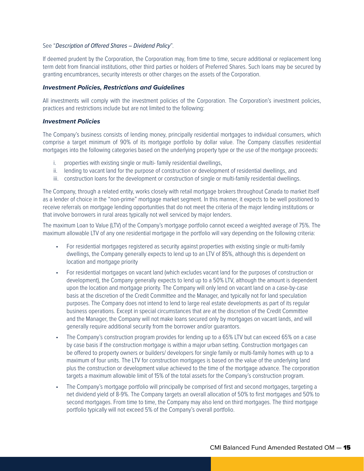#### See "*Description of Offered Shares – Dividend Policy*".

If deemed prudent by the Corporation, the Corporation may, from time to time, secure additional or replacement long term debt from financial institutions, other third parties or holders of Preferred Shares. Such loans may be secured by granting encumbrances, security interests or other charges on the assets of the Corporation.

#### *Investment Policies, Restrictions and Guidelines*

All investments will comply with the investment policies of the Corporation. The Corporation's investment policies, practices and restrictions include but are not limited to the following:

#### *Investment Policies*

The Company's business consists of lending money, principally residential mortgages to individual consumers, which comprise a target minimum of 90% of its mortgage portfolio by dollar value. The Company classifies residential mortgages into the following categories based on the underlying property type or the use of the mortgage proceeds:

- i. properties with existing single or multi- family residential dwellings,
- ii. lending to vacant land for the purpose of construction or development of residential dwellings, and
- iii. construction loans for the development or construction of single or multi-family residential dwellings.

The Company, through a related entity, works closely with retail mortgage brokers throughout Canada to market itself as a lender of choice in the "non-prime" mortgage market segment. In this manner, it expects to be well positioned to receive referrals on mortgage lending opportunities that do not meet the criteria of the major lending institutions or that involve borrowers in rural areas typically not well serviced by major lenders.

The maximum Loan to Value (LTV) of the Company's mortgage portfolio cannot exceed a weighted average of 75%. The maximum allowable LTV of any one residential mortgage in the portfolio will vary depending on the following criteria:

- For residential mortgages registered as security against properties with existing single or multi-family dwellings, the Company generally expects to lend up to an LTV of 85%, although this is dependent on location and mortgage priority
- For residential mortgages on vacant land (which excludes vacant land for the purposes of construction or development), the Company generally expects to lend up to a 50% LTV, although the amount is dependent upon the location and mortgage priority. The Company will only lend on vacant land on a case-by-case basis at the discretion of the Credit Committee and the Manager, and typically not for land speculation purposes. The Company does not intend to lend to large real estate developments as part of its regular business operations. Except in special circumstances that are at the discretion of the Credit Committee and the Manager, the Company will not make loans secured only by mortgages on vacant lands, and will generally require additional security from the borrower and/or guarantors.
- The Company's construction program provides for lending up to a 65% LTV but can exceed 65% on a case by case basis if the construction mortgage is within a major urban setting. Construction mortgages can be offered to property owners or builders/ developers for single family or multi-family homes with up to a maximum of four units. The LTV for construction mortgages is based on the value of the underlying land plus the construction or development value achieved to the time of the mortgage advance. The corporation targets a maximum allowable limit of 15% of the total assets for the Company's construction program.
- The Company's mortgage portfolio will principally be comprised of first and second mortgages, targeting a net dividend yield of 8-9%. The Company targets an overall allocation of 50% to first mortgages and 50% to second mortgages. From time to time, the Company may also lend on third mortgages. The third mortgage portfolio typically will not exceed 5% of the Company's overall portfolio.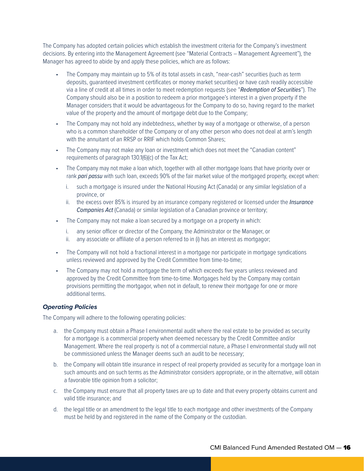The Company has adopted certain policies which establish the investment criteria for the Company's investment decisions. By entering into the Management Agreement (see "Material Contracts – Management Agreement"), the Manager has agreed to abide by and apply these policies, which are as follows:

- The Company may maintain up to 5% of its total assets in cash, "near-cash" securities (such as term deposits, guaranteed investment certificates or money market securities) or have cash readily accessible via a line of credit at all times in order to meet redemption requests (see "*Redemption of Securities*"). The Company should also be in a position to redeem a prior mortgagee's interest in a given property if the Manager considers that it would be advantageous for the Company to do so, having regard to the market value of the property and the amount of mortgage debt due to the Company;
- The Company may not hold any indebtedness, whether by way of a mortgage or otherwise, of a person who is a common shareholder of the Company or of any other person who does not deal at arm's length with the annuitant of an RRSP or RRIF which holds Common Shares;
- The Company may not make any loan or investment which does not meet the "Canadian content" requirements of paragraph 130.1(6)(c) of the Tax Act;
- The Company may not make a loan which, together with all other mortgage loans that have priority over or rank *pari passu* with such loan, exceeds 90% of the fair market value of the mortgaged property, except when:
	- i. such a mortgage is insured under the National Housing Act (Canada) or any similar legislation of a province, or
	- ii. the excess over 85% is insured by an insurance company registered or licensed under the *Insurance Companies Act* (Canada) or similar legislation of a Canadian province or territory;
- The Company may not make a loan secured by a mortgage on a property in which:
	- i. any senior officer or director of the Company, the Administrator or the Manager, or
	- ii. any associate or affiliate of a person referred to in (i) has an interest as mortgagor;
- The Company will not hold a fractional interest in a mortgage nor participate in mortgage syndications unless reviewed and approved by the Credit Committee from time-to-time;
- The Company may not hold a mortgage the term of which exceeds five years unless reviewed and approved by the Credit Committee from time-to-time. Mortgages held by the Company may contain provisions permitting the mortgagor, when not in default, to renew their mortgage for one or more additional terms.

#### *Operating Policies*

The Company will adhere to the following operating policies:

- a. the Company must obtain a Phase I environmental audit where the real estate to be provided as security for a mortgage is a commercial property when deemed necessary by the Credit Committee and/or Management. Where the real property is not of a commercial nature, a Phase I environmental study will not be commissioned unless the Manager deems such an audit to be necessary;
- b. the Company will obtain title insurance in respect of real property provided as security for a mortgage loan in such amounts and on such terms as the Administrator considers appropriate, or in the alternative, will obtain a favorable title opinion from a solicitor;
- c. the Company must ensure that all property taxes are up to date and that every property obtains current and valid title insurance; and
- d. the legal title or an amendment to the legal title to each mortgage and other investments of the Company must be held by and registered in the name of the Company or the custodian.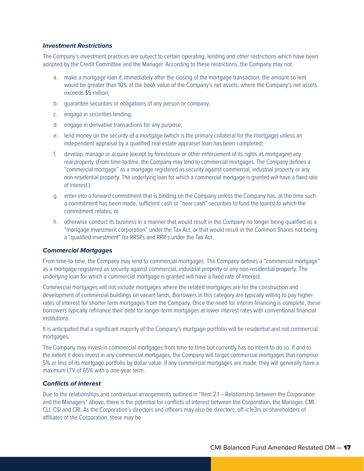#### *Investment Restrictions*

The Company's investment practices are subject to certain operating, lending and other restrictions which have been adopted by the Credit Committee and the Manager. According to these restrictions, the Company may not:

- a. make a mortgage loan if, immediately after the closing of the mortgage transaction, the amount so lent would be greater than 10% of the book value of the Company's net assets; where the Company's net assets exceeds \$5 million;
- b. guarantee securities or obligations of any person or company;
- c. engage in securities lending;
- d. engage in derivative transactions for any purpose;
- e. lend money on the security of a mortgage (which is the primary collateral for the mortgage) unless an independent appraisal by a qualified real estate appraiser loan has been completed;
- f. develop, manage or acquire (except by foreclosure or other enforcement of its rights as mortgagee) any real property. (From time-to-time, the Company may lend to commercial mortgages. The Company defines a "commercial mortgage" as a mortgage registered as security against commercial, industrial property or any non-residential property. The underlying loan for which a commercial mortgage is granted will have a fixed rate of interest.)
- g. enter into a forward commitment that is binding on the Company unless the Company has, at the time such a commitment has been made, sufficient cash or "near cash" securities to fund the loan(s) to which the commitment relates; or
- h. otherwise conduct its business in a manner that would result in the Company no longer being qualified as a "mortgage investment corporation" under the Tax Act, or that would result in the Common Shares not being a "qualified investment" for RRSPs and RRIFs under the Tax Act.

#### *Commercial Mortgages*

From time-to-time, the Company may lend to commercial mortgages. The Company defines a "commercial mortgage" as a mortgage registered as security against commercial, industrial property or any non-residential property. The underlying loan for which a commercial mortgage is granted will have a fixed rate of interest.

Commercial mortgages will not include mortgages where the related mortgages are for the construction and development of commercial buildings on vacant lands. Borrowers in this category are typically willing to pay higher rates of interest for shorter term mortgages from the Company. Once the need for interim financing is complete, these borrowers typically refinance their debt for longer-term mortgages at lower interest rates with conventional financial institutions.

It is anticipated that a significant majority of the Company's mortgage portfolio will be residential and not commercial mortgages.

The Company may invest in commercial mortgages from time-to-time but currently has no intent to do so. If and to the extent it does invest in any commercial mortgages, the Company will target commercial mortgages that comprise 5% or less of its mortgage portfolio by dollar value. If any commercial mortgages are made, they will generally have a maximum LTV of 65% with a one-year term.

#### *Conflicts of Interest*

Due to the relationships and contractual arrangements outlined in "Item 2.1 – Relationship between the Corporation and the Managers" above, there is the potential for conflicts of interest between the Corporation, the Manager, CMI, CLI, CSI and CRI. As the Corporation's directors and officers may also be directors, off-ic1e3rs or shareholders of affiliates of the Corporation, there may be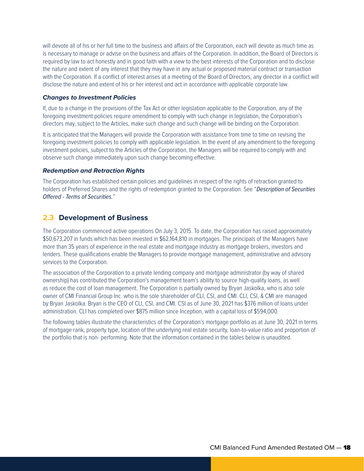will devote all of his or her full time to the business and affairs of the Corporation, each will devote as much time as is necessary to manage or advise on the business and affairs of the Corporation. In addition, the Board of Directors is required by law to act honestly and in good faith with a view to the best interests of the Corporation and to disclose the nature and extent of any interest that they may have in any actual or proposed material contract or transaction with the Corporation. If a conflict of interest arises at a meeting of the Board of Directors, any director in a conflict will disclose the nature and extent of his or her interest and act in accordance with applicable corporate law.

#### *Changes to Investment Policies*

If, due to a change in the provisions of the Tax Act or other legislation applicable to the Corporation, any of the foregoing investment policies require amendment to comply with such change in legislation, the Corporation's directors may, subject to the Articles, make such change and such change will be binding on the Corporation.

It is anticipated that the Managers will provide the Corporation with assistance from time to time on revising the foregoing investment policies to comply with applicable legislation. In the event of any amendment to the foregoing investment policies, subject to the Articles of the Corporation, the Managers will be required to comply with and observe such change immediately upon such change becoming effective.

#### *Redemption and Retraction Rights*

The Corporation has established certain policies and guidelines in respect of the rights of retraction granted to holders of Preferred Shares and the rights of redemption granted to the Corporation. See "*Description of Securities Offered - Terms of Securities.*"

### **2.3 Development of Business**

The Corporation commenced active operations On July 3, 2015. To date, the Corporation has raised approximately \$50,673,207 in funds which has been invested in \$62,164,810 in mortgages. The principals of the Managers have more than 35 years of experience in the real estate and mortgage industry as mortgage brokers, investors and lenders. These qualifications enable the Managers to provide mortgage management, administrative and advisory services to the Corporation.

The association of the Corporation to a private lending company and mortgage administrator (by way of shared ownership) has contributed the Corporation's management team's ability to source high-quality loans, as well as reduce the cost of loan management. The Corporation is partially owned by Bryan Jaskolka, who is also sole owner of CMI Financial Group Inc. who is the sole shareholder of CLI, CSI, and CMI. CLI, CSI, & CMI are managed by Bryan Jaskolka. Bryan is the CEO of CLI, CSI, and CMI. CSI as of June 30, 2021 has \$376 million of loans under administration. CLI has completed over \$875 million since Inception, with a capital loss of \$594,000.

The following tables illustrate the characteristics of the Corporation's mortgage portfolio as at June 30, 2021 in terms of mortgage rank, property type, location of the underlying real estate security, loan-to-value ratio and proportion of the portfolio that is non- performing. Note that the information contained in the tables below is unaudited.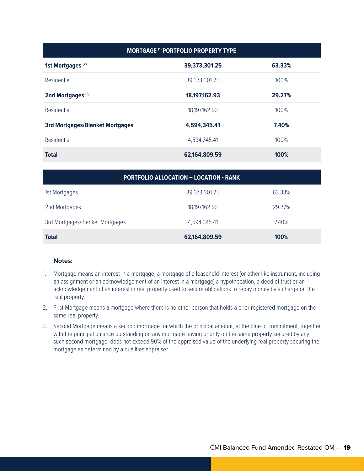| <b>MORTGAGE (1) PORTFOLIO PROPERTY TYPE</b> |                  |        |  |  |
|---------------------------------------------|------------------|--------|--|--|
| 1st Mortgages <sup>(2)</sup>                | 39,373,301.25    | 63.33% |  |  |
| Residential                                 | 39,373,301.25    | 100%   |  |  |
| 2nd Mortgages <sup>(3)</sup>                | 18, 197, 162. 93 | 29.27% |  |  |
| Residential                                 | 18,197,162.93    | 100%   |  |  |
| <b>3rd Mortgages/Blanket Mortgages</b>      | 4,594,345.41     | 7.40%  |  |  |
| Residential                                 | 4,594,345.41     | 100%   |  |  |
| <b>Total</b>                                | 62,164,809.59    | 100%   |  |  |

| <b>PORTFOLIO ALLOCATION - LOCATION - RANK</b> |               |        |  |  |
|-----------------------------------------------|---------------|--------|--|--|
| 1st Mortgages                                 | 39,373,301.25 | 63.33% |  |  |
| 2nd Mortgages                                 | 18,197,162.93 | 29.27% |  |  |
| 3rd Mortgages/Blanket Mortgages               | 4,594,345.41  | 7.40%  |  |  |
| <b>Total</b>                                  | 62,164,809.59 | 100%   |  |  |

#### **Notes:**

- 1. Mortgage means an interest in a mortgage, a mortgage of a leasehold interest (or other like instrument, including an assignment or an acknowledgement of an interest in a mortgage) a hypothecation, a deed of trust or an acknowledgement of an interest in real property used to secure obligations to repay money by a charge on the real property.
- 2. First Mortgage means a mortgage where there is no other person that holds a prior registered mortgage on the same real property.
- 3. Second Mortgage means a second mortgage for which the principal amount, at the time of commitment, together with the principal balance outstanding on any mortgage having priority on the same property secured by any such second mortgage, does not exceed 90% of the appraised value of the underlying real property securing the mortgage as determined by a qualifies appraiser.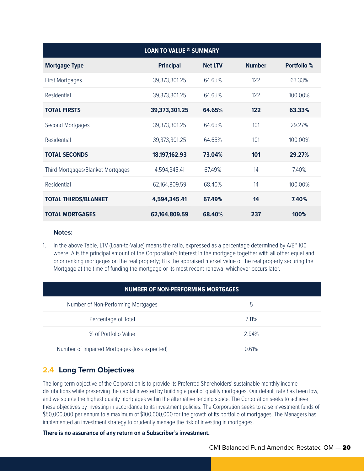| <b>LOAN TO VALUE (1) SUMMARY</b>  |                  |                |               |                    |  |
|-----------------------------------|------------------|----------------|---------------|--------------------|--|
| <b>Mortgage Type</b>              | <b>Principal</b> | <b>Net LTV</b> | <b>Number</b> | <b>Portfolio</b> % |  |
| <b>First Mortgages</b>            | 39,373,301.25    | 64.65%         | 122           | 63.33%             |  |
| Residential                       | 39,373,301.25    | 64.65%         | 122           | 100.00%            |  |
| <b>TOTAL FIRSTS</b>               | 39,373,301.25    | 64.65%         | 122           | 63.33%             |  |
| Second Mortgages                  | 39,373,301.25    | 64.65%         | 101           | 29.27%             |  |
| Residential                       | 39,373,301.25    | 64.65%         | 101           | 100.00%            |  |
| <b>TOTAL SECONDS</b>              | 18,197,162.93    | 73.04%         | 101           | 29.27%             |  |
| Third Mortgages/Blanket Mortgages | 4,594,345.41     | 67.49%         | 14            | 7.40%              |  |
| Residential                       | 62,164,809.59    | 68.40%         | 14            | 100.00%            |  |
| <b>TOTAL THIRDS/BLANKET</b>       | 4,594,345.41     | 67.49%         | 14            | 7.40%              |  |
| <b>TOTAL MORTGAGES</b>            | 62,164,809.59    | 68.40%         | 237           | 100%               |  |

#### **Notes:**

1. In the above Table, LTV (Loan-to-Value) means the ratio, expressed as a percentage determined by A/B\* 100 where: A is the principal amount of the Corporation's interest in the mortgage together with all other equal and prior ranking mortgages on the real property; B is the appraised market value of the real property securing the Mortgage at the time of funding the mortgage or its most recent renewal whichever occurs later.

| NUMBER OF NON-PERFORMING MORTGAGES           |       |  |  |  |
|----------------------------------------------|-------|--|--|--|
| Number of Non-Performing Mortgages           | 5     |  |  |  |
| Percentage of Total                          | 2.11% |  |  |  |
| % of Portfolio Value                         | 2.94% |  |  |  |
| Number of Impaired Mortgages (loss expected) | 0.61% |  |  |  |

## **2.4 Long Term Objectives**

The long-term objective of the Corporation is to provide its Preferred Shareholders' sustainable monthly income distributions while preserving the capital invested by building a pool of quality mortgages. Our default rate has been low, and we source the highest quality mortgages within the alternative lending space. The Corporation seeks to achieve these objectives by investing in accordance to its investment policies. The Corporation seeks to raise investment funds of \$50,000,000 per annum to a maximum of \$100,000,000 for the growth of its portfolio of mortgages. The Managers has implemented an investment strategy to prudently manage the risk of investing in mortgages.

#### **There is no assurance of any return on a Subscriber's investment.**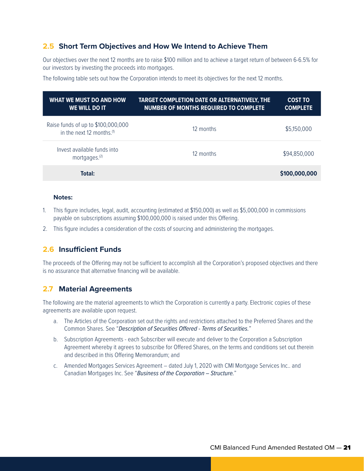## **2.5 Short Term Objectives and How We Intend to Achieve Them**

Our objectives over the next 12 months are to raise \$100 million and to achieve a target return of between 6-6.5% for our investors by investing the proceeds into mortgages.

The following table sets out how the Corporation intends to meet its objectives for the next 12 months.

| <b>WHAT WE MUST DO AND HOW</b><br>WE WILL DO IT                             | TARGET COMPLETION DATE OR ALTERNATIVELY, THE<br><b>NUMBER OF MONTHS REQUIRED TO COMPLETE</b> | <b>COST TO</b><br><b>COMPLETE</b> |
|-----------------------------------------------------------------------------|----------------------------------------------------------------------------------------------|-----------------------------------|
| Raise funds of up to \$100,000,000<br>in the next 12 months. <sup>(1)</sup> | 12 months                                                                                    | \$5,150,000                       |
| Invest available funds into<br>mortgages. <sup>(2)</sup>                    | 12 months                                                                                    | \$94,850,000                      |
| Total:                                                                      |                                                                                              | \$100,000,000                     |

#### **Notes:**

- 1. This figure includes, legal, audit, accounting (estimated at \$150,000) as well as \$5,000,000 in commissions payable on subscriptions assuming \$100,000,000 is raised under this Offering.
- 2. This figure includes a consideration of the costs of sourcing and administering the mortgages.

## **2.6 Insufficient Funds**

The proceeds of the Offering may not be sufficient to accomplish all the Corporation's proposed objectives and there is no assurance that alternative financing will be available.

### **2.7 Material Agreements**

The following are the material agreements to which the Corporation is currently a party. Electronic copies of these agreements are available upon request.

- a. The Articles of the Corporation set out the rights and restrictions attached to the Preferred Shares and the Common Shares. See "*Description of Securities Offered - Terms of Securities.*"
- b. Subscription Agreements each Subscriber will execute and deliver to the Corporation a Subscription Agreement whereby it agrees to subscribe for Offered Shares, on the terms and conditions set out therein and described in this Offering Memorandum; and
- c. Amended Mortgages Services Agreement dated July 1, 2020 with CMI Mortgage Services Inc.. and Canadian Mortgages Inc. See "*Business of the Corporation – Structure.*"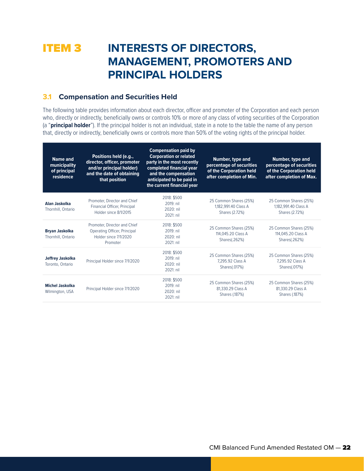## **ITEM 3 INTERESTS OF DIRECTORS, MANAGEMENT, PROMOTERS AND PRINCIPAL HOLDERS**

### **3.1 Compensation and Securities Held**

The following table provides information about each director, officer and promoter of the Corporation and each person who, directly or indirectly, beneficially owns or controls 10% or more of any class of voting securities of the Corporation (a "**principal holder**"). If the principal holder is not an individual, state in a note to the table the name of any person that, directly or indirectly, beneficially owns or controls more than 50% of the voting rights of the principal holder.

| <b>Name and</b><br>municipality<br>of principal<br>residence | Positions held (e.g.,<br>director, officer, promoter<br>and/or principal holder)<br>and the date of obtaining<br>that position | <b>Compensation paid by</b><br><b>Corporation or related</b><br>party in the most recently<br>completed financial year<br>and the compensation<br>anticipated to be paid in<br>the current financial year | Number, type and<br>percentage of securities<br>of the Corporation held<br>after completion of Min. | Number, type and<br>percentage of securities<br>of the Corporation held<br>after completion of Max. |
|--------------------------------------------------------------|--------------------------------------------------------------------------------------------------------------------------------|-----------------------------------------------------------------------------------------------------------------------------------------------------------------------------------------------------------|-----------------------------------------------------------------------------------------------------|-----------------------------------------------------------------------------------------------------|
| Alan Jaskolka<br>Thornhill, Ontario                          | Promoter, Director and Chief<br>Financial Officer, Principal<br>Holder since 8/1/2015                                          | 2018: \$500<br>2019: nil<br>$2020:$ nil<br>2021: nil                                                                                                                                                      | 25 Common Shares (25%)<br>1,182,991.40 Class A<br>Shares (2.72%)                                    | 25 Common Shares (25%)<br>1,182,991.40 Class A<br>Shares (2.72%)                                    |
| <b>Bryan Jaskolka</b><br>Thornhill, Ontario                  | Promoter, Director and Chief<br>Operating Officer, Principal<br>Holder since 7/1/2020<br>Promoter                              | 2018: \$500<br>2019: nil<br>2020: nil<br>2021: nil                                                                                                                                                        | 25 Common Shares (25%)<br>114,045.20 Class A<br>Shares(.262%)                                       | 25 Common Shares (25%)<br>114,045.20 Class A<br>Shares(.262%)                                       |
| Jeffrey Jaskolka<br>Toronto, Ontario                         | Principal Holder since 7/1/2020                                                                                                | 2018: \$500<br>2019: nil<br>2020: nil<br>2021: nil                                                                                                                                                        | 25 Common Shares (25%)<br>7.295.92 Class A<br>Shares(.017%)                                         | 25 Common Shares (25%)<br>7.295.92 Class A<br>Shares(.017%)                                         |
| <b>Michel Jaskolka</b><br>Wilmington, USA                    | Principal Holder since 7/1/2020                                                                                                | 2018: \$500<br>2019: nil<br>2020: nil<br>2021: nil                                                                                                                                                        | 25 Common Shares (25%)<br>81,330.29 Class A<br>Shares (.187%)                                       | 25 Common Shares (25%)<br>81,330.29 Class A<br>Shares (.187%)                                       |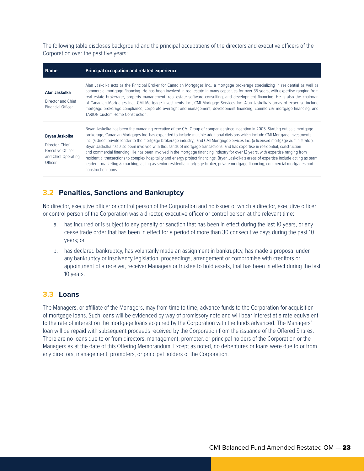The following table discloses background and the principal occupations of the directors and executive officers of the Corporation over the past five years:

| <b>Name</b>                                                                                            | <b>Principal occupation and related experience</b>                                                                                                                                                                                                                                                                                                                                                                                                                                                                                                                                                                                                                                                                                                                                                                                                                                                                                                                                          |
|--------------------------------------------------------------------------------------------------------|---------------------------------------------------------------------------------------------------------------------------------------------------------------------------------------------------------------------------------------------------------------------------------------------------------------------------------------------------------------------------------------------------------------------------------------------------------------------------------------------------------------------------------------------------------------------------------------------------------------------------------------------------------------------------------------------------------------------------------------------------------------------------------------------------------------------------------------------------------------------------------------------------------------------------------------------------------------------------------------------|
| Alan Jaskolka<br>Director and Chief<br><b>Financial Officer</b>                                        | Alan Jaskolka acts as the Principal Broker for Canadian Mortgages Inc., a mortgage brokerage specializing in residential as well as<br>commercial mortgage financing. He has been involved in real estate in many capacities for over 35 years, with expertise ranging from<br>real estate brokerage, property management, real estate software consulting, and development financing. He is also the chairman<br>of Canadian Mortgages Inc., CMI Mortgage Investments Inc., CMI Mortgage Services Inc. Alan Jaskolka's areas of expertise include<br>mortgage brokerage compliance, corporate oversight and management, development financing, commercial mortgage financing, and<br><b>TARION Custom Home Construction.</b>                                                                                                                                                                                                                                                               |
| <b>Bryan Jaskolka</b><br>Director, Chief<br><b>Executive Officer</b><br>and Chief Operating<br>Officer | Bryan Jaskolka has been the managing executive of the CMI Group of companies since inception in 2005. Starting out as a mortgage<br>brokerage, Canadian Mortgages Inc. has expanded to include multiple additional divisions which include CMI Mortgage Investments<br>Inc. (a direct private lender to the mortgage brokerage industry), and CMI Mortgage Services Inc. (a licensed mortgage administrator).<br>Bryan Jaskolka has also been involved with thousands of mortgage transactions, and has expertise in residential, construction<br>and commercial financing. He has been involved in the mortgage financing industry for over 12 years, with expertise ranging from<br>residential transactions to complex hospitality and energy project financings. Bryan Jaskolka's areas of expertise include acting as team<br>leader – marketing & coaching, acting as senior residential mortgage broker, private mortgage financing, commercial mortgages and<br>construction loans. |

## **3.2 Penalties, Sanctions and Bankruptcy**

No director, executive officer or control person of the Corporation and no issuer of which a director, executive officer or control person of the Corporation was a director, executive officer or control person at the relevant time:

- a. has incurred or is subject to any penalty or sanction that has been in effect during the last 10 years, or any cease trade order that has been in effect for a period of more than 30 consecutive days during the past 10 years; or
- b. has declared bankruptcy, has voluntarily made an assignment in bankruptcy, has made a proposal under any bankruptcy or insolvency legislation, proceedings, arrangement or compromise with creditors or appointment of a receiver, receiver Managers or trustee to hold assets, that has been in effect during the last 10 years.

### **3.3 Loans**

The Managers, or affiliate of the Managers, may from time to time, advance funds to the Corporation for acquisition of mortgage loans. Such loans will be evidenced by way of promissory note and will bear interest at a rate equivalent to the rate of interest on the mortgage loans acquired by the Corporation with the funds advanced. The Managers' loan will be repaid with subsequent proceeds received by the Corporation from the issuance of the Offered Shares. There are no loans due to or from directors, management, promoter, or principal holders of the Corporation or the Managers as at the date of this Offering Memorandum. Except as noted, no debentures or loans were due to or from any directors, management, promoters, or principal holders of the Corporation.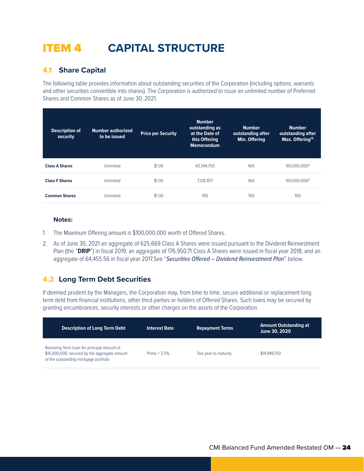## ITEM 4 **CAPITAL STRUCTURE**

## **4.1 Share Capital**

The following table provides information about outstanding securities of the Corporation (including options, warrants and other securities convertible into shares). The Corporation is authorized to issue an unlimited number of Preferred Shares and Common Shares as of June 30, 2021.

| <b>Description of</b><br>security | <b>Number authorized</b><br>to be issued | <b>Price per Security</b> | <b>Number</b><br>outstanding as<br>at the Date of<br>this Offering<br><b>Memorandum</b> | <b>Number</b><br>outstanding after<br>Min. Offering | <b>Number</b><br>outstanding after<br>Max. Offering <sup>(1)</sup> |
|-----------------------------------|------------------------------------------|---------------------------|-----------------------------------------------------------------------------------------|-----------------------------------------------------|--------------------------------------------------------------------|
| <b>Class A Shares</b>             | Unlimited                                | \$1.00                    | 43.544.750                                                                              | N/A                                                 | 100,000,000(1)                                                     |
| <b>Class F Shares</b>             | Unlimited                                | \$1.00                    | 7.128.457                                                                               | N/A                                                 | 100.000.000(1)                                                     |
| <b>Common Shares</b>              | Unlimited                                | \$1.00                    | 100                                                                                     | 100                                                 | 100                                                                |

#### **Notes:**

- 1. The Maximum Offering amount is \$100,000,000 worth of Offered Shares.
- 2. As of June 30, 2021 an aggregate of 625,669 Class A Shares were issued pursuant to the Dividend Reinvestment Plan (the "**DRIP**") in fiscal 2019, an aggregate of 176,950.71 Class A Shares were issued in fiscal year 2018; and an aggregate of 64,455.56 in fiscal year 2017.See "*Securities Offered – Dividend Reinvestment Plan*" below.

## **4.2 Long Term Debt Securities**

If deemed prudent by the Managers, the Corporation may, from time to time, secure additional or replacement long term debt from financial institutions, other third parties or holders of Offered Shares. Such loans may be secured by granting encumbrances, security interests or other charges on the assets of the Corporation.

| <b>Description of Long Term Debt</b>                                                                                                  | <b>Interest Rate</b> | <b>Repayment Terms</b> | <b>Amount Outstanding at</b><br>June 30, 2020 |
|---------------------------------------------------------------------------------------------------------------------------------------|----------------------|------------------------|-----------------------------------------------|
| Revolving Term Loan for principal amount of<br>\$15,000,000, secured by the aggregate amount<br>of the outstanding mortgage portfolio | Prime $+2.5%$        | Two year to maturity   | \$14,999.750                                  |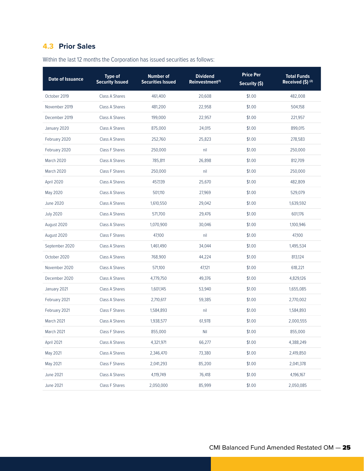## **4.3 Prior Sales**

| <b>Date of Issuance</b> | <b>Type of</b><br><b>Security Issued</b> | <b>Number of</b><br><b>Securities Issued</b> | <b>Dividend</b><br>Reinvestment <sup>(1)</sup> | <b>Price Per</b><br>Security (\$) | <b>Total Funds</b><br>Received (\$) <sup>(2)</sup> |
|-------------------------|------------------------------------------|----------------------------------------------|------------------------------------------------|-----------------------------------|----------------------------------------------------|
| October 2019            | <b>Class A Shares</b>                    | 461,400                                      | 20,608                                         | \$1.00                            | 482,008                                            |
| November 2019           | <b>Class A Shares</b>                    | 481,200                                      | 22,958                                         | \$1.00                            | 504,158                                            |
| December 2019           | <b>Class A Shares</b>                    | 199,000                                      | 22,957                                         | \$1.00                            | 221,957                                            |
| January 2020            | Class A Shares                           | 875,000                                      | 24,015                                         | \$1.00                            | 899,015                                            |
| February 2020           | Class A Shares                           | 252,760                                      | 25,823                                         | \$1.00                            | 278,583                                            |
| February 2020           | <b>Class F Shares</b>                    | 250,000                                      | nil                                            | \$1.00                            | 250,000                                            |
| March 2020              | Class A Shares                           | 785,811                                      | 26,898                                         | \$1.00                            | 812,709                                            |
| March 2020              | <b>Class F Shares</b>                    | 250,000                                      | nil                                            | \$1.00                            | 250,000                                            |
| April 2020              | Class A Shares                           | 457,139                                      | 25,670                                         | \$1.00                            | 482,809                                            |
| May 2020                | <b>Class A Shares</b>                    | 501,110                                      | 27,969                                         | \$1.00                            | 529,079                                            |
| <b>June 2020</b>        | Class A Shares                           | 1,610,550                                    | 29,042                                         | \$1.00                            | 1,639,592                                          |
| <b>July 2020</b>        | <b>Class A Shares</b>                    | 571,700                                      | 29,476                                         | \$1.00                            | 601,176                                            |
| August 2020             | Class A Shares                           | 1,070,900                                    | 30,046                                         | \$1.00                            | 1,100,946                                          |
| August 2020             | <b>Class F Shares</b>                    | 47,100                                       | nil                                            | \$1.00                            | 47.100                                             |
| September 2020          | Class A Shares                           | 1,461,490                                    | 34,044                                         | \$1.00                            | 1,495,534                                          |
| October 2020            | Class A Shares                           | 768,900                                      | 44,224                                         | \$1.00                            | 813,124                                            |
| November 2020           | Class A Shares                           | 571,100                                      | 47,121                                         | \$1.00                            | 618,221                                            |
| December 2020           | Class A Shares                           | 4,779,750                                    | 49,376                                         | \$1.00                            | 4,829,126                                          |
| January 2021            | Class A Shares                           | 1,601,145                                    | 53,940                                         | \$1.00                            | 1,655,085                                          |
| February 2021           | Class A Shares                           | 2,710,617                                    | 59,385                                         | \$1.00                            | 2,770,002                                          |
| February 2021           | <b>Class F Shares</b>                    | 1,584,893                                    | nil                                            | \$1.00                            | 1,584,893                                          |
| March 2021              | Class A Shares                           | 1,938,577                                    | 61,978                                         | \$1.00                            | 2,000,555                                          |
| March 2021              | Class F Shares                           | 855,000                                      | Nil                                            | \$1.00                            | 855,000                                            |
| April 2021              | Class A Shares                           | 4,321,971                                    | 66,277                                         | \$1.00                            | 4,388,249                                          |
| May 2021                | Class A Shares                           | 2,346,470                                    | 73,380                                         | \$1.00                            | 2,419,850                                          |
| May 2021                | Class F Shares                           | 2,041,293                                    | 85,200                                         | \$1.00                            | 2,041,378                                          |
| <b>June 2021</b>        | Class A Shares                           | 4,119,749                                    | 76,418                                         | \$1.00                            | 4,196,167                                          |
| <b>June 2021</b>        | Class F Shares                           | 2,050,000                                    | 85,999                                         | \$1.00                            | 2,050,085                                          |

Within the last 12 months the Corporation has issued securities as follows: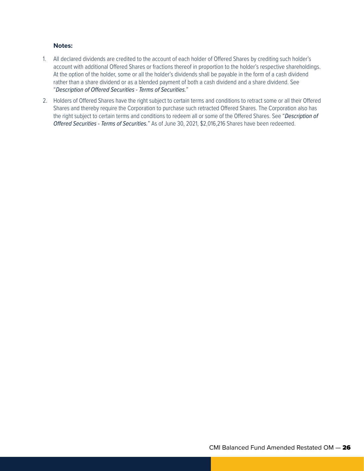#### **Notes:**

- 1. All declared dividends are credited to the account of each holder of Offered Shares by crediting such holder's account with additional Offered Shares or fractions thereof in proportion to the holder's respective shareholdings. At the option of the holder, some or all the holder's dividends shall be payable in the form of a cash dividend rather than a share dividend or as a blended payment of both a cash dividend and a share dividend. See "*Description of Offered Securities - Terms of Securities.*"
- 2. Holders of Offered Shares have the right subject to certain terms and conditions to retract some or all their Offered Shares and thereby require the Corporation to purchase such retracted Offered Shares. The Corporation also has the right subject to certain terms and conditions to redeem all or some of the Offered Shares. See "*Description of Offered Securities - Terms of Securities.*" As of June 30, 2021, \$2,016,216 Shares have been redeemed.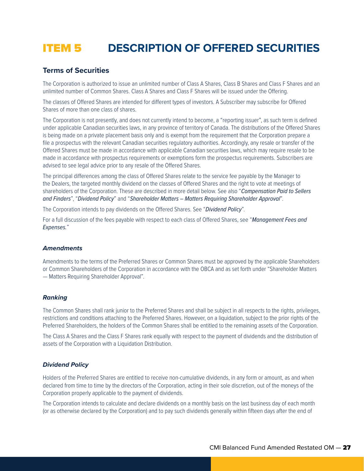## ITEM 5 **DESCRIPTION OF OFFERED SECURITIES**

### **Terms of Securities**

The Corporation is authorized to issue an unlimited number of Class A Shares, Class B Shares and Class F Shares and an unlimited number of Common Shares. Class A Shares and Class F Shares will be issued under the Offering.

The classes of Offered Shares are intended for different types of investors. A Subscriber may subscribe for Offered Shares of more than one class of shares.

The Corporation is not presently, and does not currently intend to become, a "reporting issuer", as such term is defined under applicable Canadian securities laws, in any province of territory of Canada. The distributions of the Offered Shares is being made on a private placement basis only and is exempt from the requirement that the Corporation prepare a file a prospectus with the relevant Canadian securities regulatory authorities. Accordingly, any resale or transfer of the Offered Shares must be made in accordance with applicable Canadian securities laws, which may require resale to be made in accordance with prospectus requirements or exemptions form the prospectus requirements. Subscribers are advised to see legal advice prior to any resale of the Offered Shares.

The principal differences among the class of Offered Shares relate to the service fee payable by the Manager to the Dealers, the targeted monthly dividend on the classes of Offered Shares and the right to vote at meetings of shareholders of the Corporation. These are described in more detail below. See also "*Compensation Paid to Sellers and Finders*", "*Dividend Policy*" and "*Shareholder Matters – Matters Requiring Shareholder Approval*".

The Corporation intends to pay dividends on the Offered Shares. See "*Dividend Policy*".

For a full discussion of the fees payable with respect to each class of Offered Shares, see "*Management Fees and Expenses.*"

#### *Amendments*

Amendments to the terms of the Preferred Shares or Common Shares must be approved by the applicable Shareholders or Common Shareholders of the Corporation in accordance with the OBCA and as set forth under "Shareholder Matters — Matters Requiring Shareholder Approval".

#### *Ranking*

The Common Shares shall rank junior to the Preferred Shares and shall be subject in all respects to the rights, privileges, restrictions and conditions attaching to the Preferred Shares. However, on a liquidation, subject to the prior rights of the Preferred Shareholders, the holders of the Common Shares shall be entitled to the remaining assets of the Corporation.

The Class A Shares and the Class F Shares rank equally with respect to the payment of dividends and the distribution of assets of the Corporation with a Liquidation Distribution.

#### *Dividend Policy*

Holders of the Preferred Shares are entitled to receive non-cumulative dividends, in any form or amount, as and when declared from time to time by the directors of the Corporation, acting in their sole discretion, out of the moneys of the Corporation properly applicable to the payment of dividends.

The Corporation intends to calculate and declare dividends on a monthly basis on the last business day of each month (or as otherwise declared by the Corporation) and to pay such dividends generally within fifteen days after the end of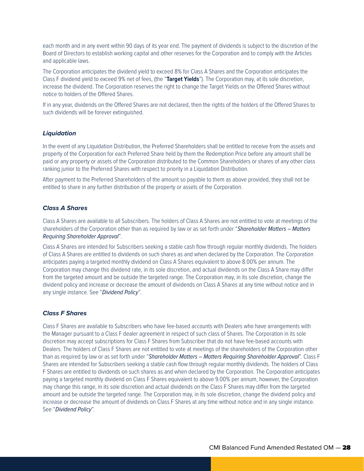each month and in any event within 90 days of its year end. The payment of dividends is subject to the discretion of the Board of Directors to establish working capital and other reserves for the Corporation and to comply with the Articles and applicable laws.

The Corporation anticipates the dividend yield to exceed 8% for Class A Shares and the Corporation anticipates the Class F dividend yield to exceed 9% net of fees, (the "**Target Yields**"). The Corporation may, at its sole discretion, increase the dividend. The Corporation reserves the right to change the Target Yields on the Offered Shares without notice to holders of the Offered Shares.

If in any year, dividends on the Offered Shares are not declared, then the rights of the holders of the Offered Shares to such dividends will be forever extinguished.

#### *Liquidation*

In the event of any Liquidation Distribution, the Preferred Shareholders shall be entitled to receive from the assets and property of the Corporation for each Preferred Share held by them the Redemption Price before any amount shall be paid or any property or assets of the Corporation distributed to the Common Shareholders or shares of any other class ranking junior to the Preferred Shares with respect to priority in a Liquidation Distribution.

After payment to the Preferred Shareholders of the amount so payable to them as above provided, they shall not be entitled to share in any further distribution of the property or assets of the Corporation.

#### *Class A Shares*

Class A Shares are available to all Subscribers. The holders of Class A Shares are not entitled to vote at meetings of the shareholders of the Corporation other than as required by law or as set forth under "*Shareholder Matters – Matters Requiring Shareholder Approval*".

Class A Shares are intended for Subscribers seeking a stable cash flow through regular monthly dividends. The holders of Class A Shares are entitled to dividends on such shares as and when declared by the Corporation. The Corporation anticipates paying a targeted monthly dividend on Class A Shares equivalent to above 8.00% per annum. The Corporation may change this dividend rate, in its sole discretion, and actual dividends on the Class A Share may differ from the targeted amount and be outside the targeted range. The Corporation may, in its sole discretion, change the dividend policy and increase or decrease the amount of dividends on Class A Shares at any time without notice and in any single instance. See "*Dividend Policy*".

#### *Class F Shares*

Class F Shares are available to Subscribers who have fee-based accounts with Dealers who have arrangements with the Manager pursuant to a Class F dealer agreement in respect of such class of Shares. The Corporation in its sole discretion may accept subscriptions for Class F Shares from Subscriber that do not have fee-based accounts with Dealers. The holders of Class F Shares are not entitled to vote at meetings of the shareholders of the Corporation other than as required by law or as set forth under "*Shareholder Matters – Matters Requiring Shareholder Approval*". Class F Shares are intended for Subscribers seeking a stable cash flow through regular monthly dividends. The holders of Class F Shares are entitled to dividends on such shares as and when declared by the Corporation. The Corporation anticipates paying a targeted monthly dividend on Class F Shares equivalent to above 9.00% per annum, however, the Corporation may change this range, in its sole discretion and actual dividends on the Class F Shares may differ from the targeted amount and be outside the targeted range. The Corporation may, in its sole discretion, change the dividend policy and increase or decrease the amount of dividends on Class F Shares at any time without notice and in any single instance. See "*Dividend Policy*".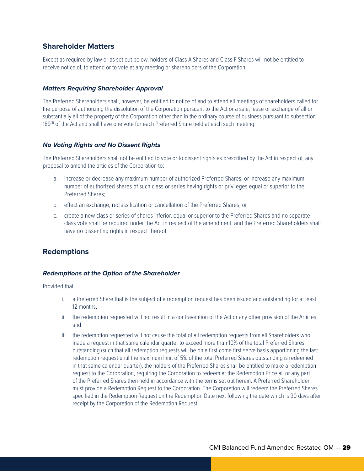## **Shareholder Matters**

Except as required by law or as set out below, holders of Class A Shares and Class F Shares will not be entitled to receive notice of, to attend or to vote at any meeting or shareholders of the Corporation.

#### *Matters Requiring Shareholder Approval*

The Preferred Shareholders shall, however, be entitled to notice of and to attend all meetings of shareholders called for the purpose of authorizing the dissolution of the Corporation pursuant to the Act or a sale, lease or exchange of all or substantially all of the property of the Corporation other than in the ordinary course of business pursuant to subsection 189<sup>(3)</sup> of the Act and shall have one vote for each Preferred Share held at each such meeting.

#### *No Voting Rights and No Dissent Rights*

The Preferred Shareholders shall not be entitled to vote or to dissent rights as prescribed by the Act in respect of, any proposal to amend the articles of the Corporation to:

- a. increase or decrease any maximum number of authorized Preferred Shares, or increase any maximum number of authorized shares of such class or series having rights or privileges equal or superior to the Preferred Shares;
- b. effect an exchange, reclassification or cancellation of the Preferred Shares; or
- c. create a new class or series of shares inferior, equal or superior to the Preferred Shares and no separate class vote shall be required under the Act in respect of the amendment, and the Preferred Shareholders shall have no dissenting rights in respect thereof.

## **Redemptions**

#### *Redemptions at the Option of the Shareholder*

Provided that

- i. a Preferred Share that is the subject of a redemption request has been issued and outstanding for at least 12 months,
- ii. the redemption requested will not result in a contravention of the Act or any other provision of the Articles, and
- iii. the redemption requested will not cause the total of all redemption requests from all Shareholders who made a request in that same calendar quarter to exceed more than 10% of the total Preferred Shares outstanding (such that all redemption requests will be on a first come first serve basis apportioning the last redemption request until the maximum limit of 5% of the total Preferred Shares outstanding is redeemed in that same calendar quarter), the holders of the Preferred Shares shall be entitled to make a redemption request to the Corporation, requiring the Corporation to redeem at the Redemption Price all or any part of the Preferred Shares then held in accordance with the terms set out herein. A Preferred Shareholder must provide a Redemption Request to the Corporation. The Corporation will redeem the Preferred Shares specified in the Redemption Request on the Redemption Date next following the date which is 90 days after receipt by the Corporation of the Redemption Request.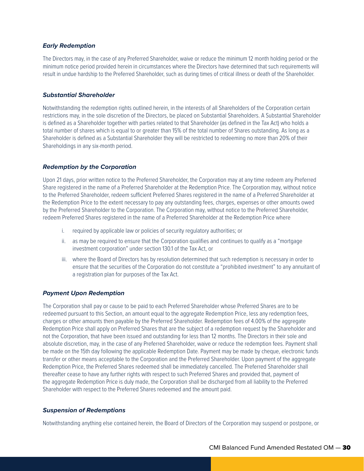#### *Early Redemption*

The Directors may, in the case of any Preferred Shareholder, waive or reduce the minimum 12 month holding period or the minimum notice period provided herein in circumstances where the Directors have determined that such requirements will result in undue hardship to the Preferred Shareholder, such as during times of critical illness or death of the Shareholder.

#### *Substantial Shareholder*

Notwithstanding the redemption rights outlined herein, in the interests of all Shareholders of the Corporation certain restrictions may, in the sole discretion of the Directors, be placed on Substantial Shareholders. A Substantial Shareholder is defined as a Shareholder together with parties related to that Shareholder (as defined in the Tax Act) who holds a total number of shares which is equal to or greater than 15% of the total number of Shares outstanding. As long as a Shareholder is defined as a Substantial Shareholder they will be restricted to redeeming no more than 20% of their Shareholdings in any six-month period.

#### *Redemption by the Corporation*

Upon 21 days, prior written notice to the Preferred Shareholder, the Corporation may at any time redeem any Preferred Share registered in the name of a Preferred Shareholder at the Redemption Price. The Corporation may, without notice to the Preferred Shareholder, redeem sufficient Preferred Shares registered in the name of a Preferred Shareholder at the Redemption Price to the extent necessary to pay any outstanding fees, charges, expenses or other amounts owed by the Preferred Shareholder to the Corporation. The Corporation may, without notice to the Preferred Shareholder, redeem Preferred Shares registered in the name of a Preferred Shareholder at the Redemption Price where

- i. required by applicable law or policies of security regulatory authorities; or
- ii. as may be required to ensure that the Corporation qualifies and continues to qualify as a "mortgage investment corporation" under section 130.1 of the Tax Act, or
- iii. where the Board of Directors has by resolution determined that such redemption is necessary in order to ensure that the securities of the Corporation do not constitute a "prohibited investment" to any annuitant of a registration plan for purposes of the Tax Act.

#### *Payment Upon Redemption*

The Corporation shall pay or cause to be paid to each Preferred Shareholder whose Preferred Shares are to be redeemed pursuant to this Section, an amount equal to the aggregate Redemption Price, less any redemption fees, charges or other amounts then payable by the Preferred Shareholder. Redemption fees of 4.00% of the aggregate Redemption Price shall apply on Preferred Shares that are the subject of a redemption request by the Shareholder and not the Corporation, that have been issued and outstanding for less than 12 months. The Directors in their sole and absolute discretion, may, in the case of any Preferred Shareholder, waive or reduce the redemption fees. Payment shall be made on the 15th day following the applicable Redemption Date. Payment may be made by cheque, electronic funds transfer or other means acceptable to the Corporation and the Preferred Shareholder. Upon payment of the aggregate Redemption Price, the Preferred Shares redeemed shall be immediately cancelled. The Preferred Shareholder shall thereafter cease to have any further rights with respect to such Preferred Shares and provided that, payment of the aggregate Redemption Price is duly made, the Corporation shall be discharged from all liability to the Preferred Shareholder with respect to the Preferred Shares redeemed and the amount paid.

#### *Suspension of Redemptions*

Notwithstanding anything else contained herein, the Board of Directors of the Corporation may suspend or postpone, or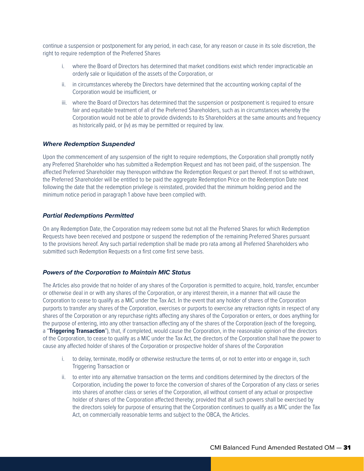continue a suspension or postponement for any period, in each case, for any reason or cause in its sole discretion, the right to require redemption of the Preferred Shares

- i. where the Board of Directors has determined that market conditions exist which render impracticable an orderly sale or liquidation of the assets of the Corporation, or
- ii. in circumstances whereby the Directors have determined that the accounting working capital of the Corporation would be insufficient, or
- iii. where the Board of Directors has determined that the suspension or postponement is required to ensure fair and equitable treatment of all of the Preferred Shareholders, such as in circumstances whereby the Corporation would not be able to provide dividends to its Shareholders at the same amounts and frequency as historically paid, or (iv) as may be permitted or required by law.

#### *Where Redemption Suspended*

Upon the commencement of any suspension of the right to require redemptions, the Corporation shall promptly notify any Preferred Shareholder who has submitted a Redemption Request and has not been paid, of the suspension. The affected Preferred Shareholder may thereupon withdraw the Redemption Request or part thereof. If not so withdrawn, the Preferred Shareholder will be entitled to be paid the aggregate Redemption Price on the Redemption Date next following the date that the redemption privilege is reinstated, provided that the minimum holding period and the minimum notice period in paragraph 1 above have been complied with.

#### *Partial Redemptions Permitted*

On any Redemption Date, the Corporation may redeem some but not all the Preferred Shares for which Redemption Requests have been received and postpone or suspend the redemption of the remaining Preferred Shares pursuant to the provisions hereof. Any such partial redemption shall be made pro rata among all Preferred Shareholders who submitted such Redemption Requests on a first come first serve basis.

#### *Powers of the Corporation to Maintain MIC Status*

The Articles also provide that no holder of any shares of the Corporation is permitted to acquire, hold, transfer, encumber or otherwise deal in or with any shares of the Corporation, or any interest therein, in a manner that will cause the Corporation to cease to qualify as a MIC under the Tax Act. In the event that any holder of shares of the Corporation purports to transfer any shares of the Corporation, exercises or purports to exercise any retraction rights in respect of any shares of the Corporation or any repurchase rights affecting any shares of the Corporation or enters, or does anything for the purpose of entering, into any other transaction affecting any of the shares of the Corporation (each of the foregoing, a "Triggering Transaction"), that, if completed, would cause the Corporation, in the reasonable opinion of the directors of the Corporation, to cease to qualify as a MIC under the Tax Act, the directors of the Corporation shall have the power to cause any affected holder of shares of the Corporation or prospective holder of shares of the Corporation

- i. to delay, terminate, modify or otherwise restructure the terms of, or not to enter into or engage in, such Triggering Transaction or
- ii. to enter into any alternative transaction on the terms and conditions determined by the directors of the Corporation, including the power to force the conversion of shares of the Corporation of any class or series into shares of another class or series of the Corporation, all without consent of any actual or prospective holder of shares of the Corporation affected thereby; provided that all such powers shall be exercised by the directors solely for purpose of ensuring that the Corporation continues to qualify as a MIC under the Tax Act, on commercially reasonable terms and subject to the OBCA, the Articles.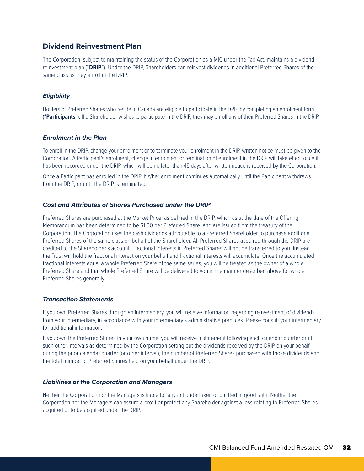### **Dividend Reinvestment Plan**

The Corporation, subject to maintaining the status of the Corporation as a MIC under the Tax Act, maintains a dividend reinvestment plan ("**DRIP**"). Under the DRIP, Shareholders can reinvest dividends in additional Preferred Shares of the same class as they enroll in the DRIP.

#### *Eligibility*

Holders of Preferred Shares who reside in Canada are eligible to participate in the DRIP by completing an enrolment form ("**Participants**"). If a Shareholder wishes to participate in the DRIP, they may enroll any of their Preferred Shares in the DRIP.

#### *Enrolment in the Plan*

To enroll in the DRIP, change your enrolment or to terminate your enrolment in the DRIP, written notice must be given to the Corporation. A Participant's enrolment, change in enrolment or termination of enrolment in the DRIP will take effect once it has been recorded under the DRIP, which will be no later than 45 days after written notice is received by the Corporation.

Once a Participant has enrolled in the DRIP, his/her enrolment continues automatically until the Participant withdraws from the DRIP, or until the DRIP is terminated.

#### *Cost and Attributes of Shares Purchased under the DRIP*

Preferred Shares are purchased at the Market Price, as defined in the DRIP, which as at the date of the Offering Memorandum has been determined to be \$1.00 per Preferred Share, and are issued from the treasury of the Corporation. The Corporation uses the cash dividends attributable to a Preferred Shareholder to purchase additional Preferred Shares of the same class on behalf of the Shareholder. All Preferred Shares acquired through the DRIP are credited to the Shareholder's account. Fractional interests in Preferred Shares will not be transferred to you. Instead the Trust will hold the fractional interest on your behalf and fractional interests will accumulate. Once the accumulated fractional interests equal a whole Preferred Share of the same series, you will be treated as the owner of a whole Preferred Share and that whole Preferred Share will be delivered to you in the manner described above for whole Preferred Shares generally.

#### *Transaction Statements*

If you own Preferred Shares through an intermediary, you will receive information regarding reinvestment of dividends from your intermediary, in accordance with your intermediary's administrative practices. Please consult your intermediary for additional information.

If you own the Preferred Shares in your own name, you will receive a statement following each calendar quarter or at such other intervals as determined by the Corporation setting out the dividends received by the DRIP on your behalf during the prior calendar quarter (or other interval), the number of Preferred Shares purchased with those dividends and the total number of Preferred Shares held on your behalf under the DRIP.

#### *Liabilities of the Corporation and Managers*

Neither the Corporation nor the Managers is liable for any act undertaken or omitted in good faith. Neither the Corporation nor the Managers can assure a profit or protect any Shareholder against a loss relating to Preferred Shares acquired or to be acquired under the DRIP.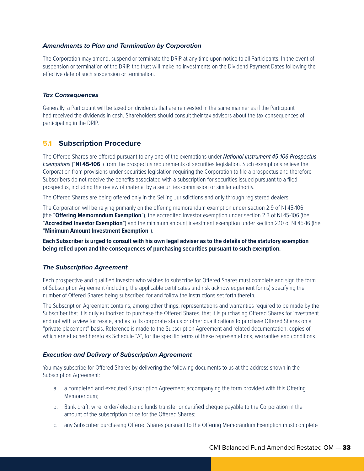#### *Amendments to Plan and Termination by Corporation*

The Corporation may amend, suspend or terminate the DRIP at any time upon notice to all Participants. In the event of suspension or termination of the DRIP, the trust will make no investments on the Dividend Payment Dates following the effective date of such suspension or termination.

#### *Tax Consequences*

Generally, a Participant will be taxed on dividends that are reinvested in the same manner as if the Participant had received the dividends in cash. Shareholders should consult their tax advisors about the tax consequences of participating in the DRIP.

#### **5.1 Subscription Procedure**

The Offered Shares are offered pursuant to any one of the exemptions under *National Instrument 45-106 Prospectus Exemptions* ("**NI 45-106**") from the prospectus requirements of securities legislation. Such exemptions relieve the Corporation from provisions under securities legislation requiring the Corporation to file a prospectus and therefore Subscribers do not receive the benefits associated with a subscription for securities issued pursuant to a filed prospectus, including the review of material by a securities commission or similar authority.

The Offered Shares are being offered only in the Selling Jurisdictions and only through registered dealers.

The Corporation will be relying primarily on the offering memorandum exemption under section 2.9 of NI 45-106 (the "**Offering Memorandum Exemption**"), the accredited investor exemption under section 2.3 of NI 45-106 (the "**Accredited Investor Exemption**") and the minimum amount investment exemption under section 2.10 of NI 45-16 (the "**Minimum Amount Investment Exemption**").

**Each Subscriber is urged to consult with his own legal adviser as to the details of the statutory exemption being relied upon and the consequences of purchasing securities pursuant to such exemption.**

#### *The Subscription Agreement*

Each prospective and qualified investor who wishes to subscribe for Offered Shares must complete and sign the form of Subscription Agreement (including the applicable certificates and risk acknowledgement forms) specifying the number of Offered Shares being subscribed for and follow the instructions set forth therein.

The Subscription Agreement contains, among other things, representations and warranties required to be made by the Subscriber that it is duly authorized to purchase the Offered Shares, that it is purchasing Offered Shares for investment and not with a view for resale, and as to its corporate status or other qualifications to purchase Offered Shares on a "private placement" basis. Reference is made to the Subscription Agreement and related documentation, copies of which are attached hereto as Schedule "A", for the specific terms of these representations, warranties and conditions.

#### *Execution and Delivery of Subscription Agreement*

You may subscribe for Offered Shares by delivering the following documents to us at the address shown in the Subscription Agreement:

- a. a completed and executed Subscription Agreement accompanying the form provided with this Offering Memorandum;
- b. Bank draft, wire, order/ electronic funds transfer or certified cheque payable to the Corporation in the amount of the subscription price for the Offered Shares;
- c. any Subscriber purchasing Offered Shares pursuant to the Offering Memorandum Exemption must complete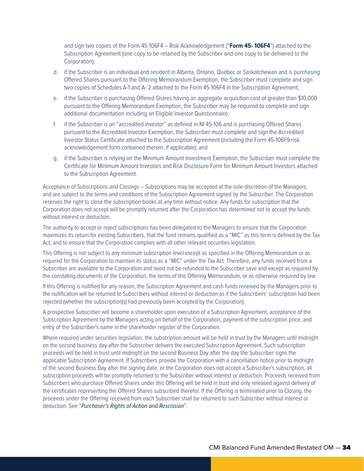and sign two copies of the Form 45-106F4 – Risk Acknowledgement ("**Form 45- 106F4**") attached to the Subscription Agreement (one copy to be retained by the Subscriber and one copy to be delivered to the Corporation);

- d. if the Subscriber is an individual and resident in Alberta, Ontario, Québec or Saskatchewan and is purchasing Offered Shares pursuant to the Offering Memorandum Exemption, the Subscriber must complete and sign two copies of Schedules A-1 and A- 2 attached to the Form 45-106F4 in the Subscription Agreement;
- e. if the Subscriber is purchasing Offered Shares having an aggregate acquisition cost of greater than \$10,000 pursuant to the Offering Memorandum Exemption, the Subscriber may be required to complete and sign additional documentation including an Eligible Investor Questionnaire;
- f. if the Subscriber is an "accredited investor" as defined in NI 45-106 and is purchasing Offered Shares pursuant to the Accredited Investor Exemption, the Subscriber must complete and sign the Accredited Investor Status Certificate attached to the Subscription Agreement (including the Form 45-106F9 risk acknowledgement form contained therein, if applicable); and
- g. if the Subscriber is relying on the Minimum Amount Investment Exemption, the Subscriber must complete the Certificate for Minimum Amount Investors and Risk Disclosure Form for Minimum Amount Investors attached to the Subscription Agreement.

Acceptance of Subscriptions and Closings – Subscriptions may be accepted at the sole discretion of the Managers, and are subject to the terms and conditions of the Subscription Agreement signed by the Subscriber. The Corporation reserves the right to close the subscription books at any time without notice. Any funds for subscription that the Corporation does not accept will be promptly returned after the Corporation has determined not to accept the funds without interest or deduction.

The authority to accept or reject subscriptions has been delegated to the Managers to ensure that the Corporation maximizes its return for existing Subscribers, that the fund remains qualified as a "MIC" as this term is defined by the Tax Act, and to ensure that the Corporation complies with all other relevant securities legislation.

This Offering is not subject to any minimum subscription level except as specified in the Offering Memorandum or as required for the Corporation to maintain its status as a "MIC" under the Tax Act. Therefore, any funds received from a Subscriber are available to the Corporation and need not be refunded to the Subscriber save and except as required by the constating documents of the Corporation, the terms of this Offering Memorandum, or as otherwise required by law.

If this Offering is nullified for any reason, the Subscription Agreement and cash funds received by the Managers prior to the nullification will be returned to Subscribers without interest or deduction as if the Subscribers' subscription had been rejected (whether the subscription(s) had previously been accepted by the Corporation).

A prospective Subscriber will become a shareholder upon execution of a Subscription Agreement, acceptance of the Subscription Agreement by the Managers acting on behalf of the Corporation, payment of the subscription price, and entry of the Subscriber's name in the shareholder register of the Corporation.

Where required under securities legislation, the subscription amount will be held in trust by the Managers until midnight on the second business day after the Subscriber delivers the executed Subscription Agreement. Such subscription proceeds will be held in trust until midnight on the second Business Day after the day the Subscriber signs the applicable Subscription Agreement. If Subscribers provide the Corporation with a cancellation notice prior to midnight of the second Business Day after the signing date, or the Corporation does not accept a Subscriber's subscription, all subscription proceeds will be promptly returned to the Subscriber without interest or deduction. Proceeds received from Subscribers who purchase Offered Shares under this Offering will be held in trust and only released against delivery of the certificates representing the Offered Shares subscribed therefor. If the Offering is terminated prior to Closing, the proceeds under the Offering received from each Subscriber shall be returned to such Subscriber without interest or deduction. See "*Purchaser's Rights of Action and Rescission*".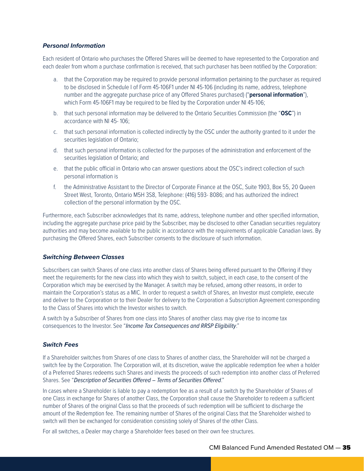#### *Personal Information*

Each resident of Ontario who purchases the Offered Shares will be deemed to have represented to the Corporation and each dealer from whom a purchase confirmation is received, that such purchaser has been notified by the Corporation:

- a. that the Corporation may be required to provide personal information pertaining to the purchaser as required to be disclosed in Schedule I of Form 45-106F1 under NI 45-106 (including its name, address, telephone number and the aggregate purchase price of any Offered Shares purchased) ("**personal information**"), which Form 45-106F1 may be required to be filed by the Corporation under NI 45-106;
- b. that such personal information may be delivered to the Ontario Securities Commission (the "**OSC**") in accordance with NI 45- 106;
- c. that such personal information is collected indirectly by the OSC under the authority granted to it under the securities legislation of Ontario;
- d. that such personal information is collected for the purposes of the administration and enforcement of the securities legislation of Ontario; and
- e. that the public official in Ontario who can answer questions about the OSC's indirect collection of such personal information is
- f. the Administrative Assistant to the Director of Corporate Finance at the OSC, Suite 1903, Box 55, 20 Queen Street West, Toronto, Ontario M5H 3S8, Telephone: (416) 593- 8086; and has authorized the indirect collection of the personal information by the OSC.

Furthermore, each Subscriber acknowledges that its name, address, telephone number and other specified information, including the aggregate purchase price paid by the Subscriber, may be disclosed to other Canadian securities regulatory authorities and may become available to the public in accordance with the requirements of applicable Canadian laws. By purchasing the Offered Shares, each Subscriber consents to the disclosure of such information.

#### *Switching Between Classes*

Subscribers can switch Shares of one class into another class of Shares being offered pursuant to the Offering if they meet the requirements for the new class into which they wish to switch, subject, in each case, to the consent of the Corporation which may be exercised by the Manager. A switch may be refused, among other reasons, in order to maintain the Corporation's status as a MIC. In order to request a switch of Shares, an Investor must complete, execute and deliver to the Corporation or to their Dealer for delivery to the Corporation a Subscription Agreement corresponding to the Class of Shares into which the Investor wishes to switch.

A switch by a Subscriber of Shares from one class into Shares of another class may give rise to income tax consequences to the Investor. See "*Income Tax Consequences and RRSP Eligibility*."

#### *Switch Fees*

If a Shareholder switches from Shares of one class to Shares of another class, the Shareholder will not be charged a switch fee by the Corporation. The Corporation will, at its discretion, waive the applicable redemption fee when a holder of a Preferred Shares redeems such Shares and invests the proceeds of such redemption into another class of Preferred Shares. See "*Description of Securities Offered – Terms of Securities Offered*."

In cases where a Shareholder is liable to pay a redemption fee as a result of a switch by the Shareholder of Shares of one Class in exchange for Shares of another Class, the Corporation shall cause the Shareholder to redeem a sufficient number of Shares of the original Class so that the proceeds of such redemption will be sufficient to discharge the amount of the Redemption fee. The remaining number of Shares of the original Class that the Shareholder wished to switch will then be exchanged for consideration consisting solely of Shares of the other Class.

For all switches, a Dealer may charge a Shareholder fees based on their own fee structures.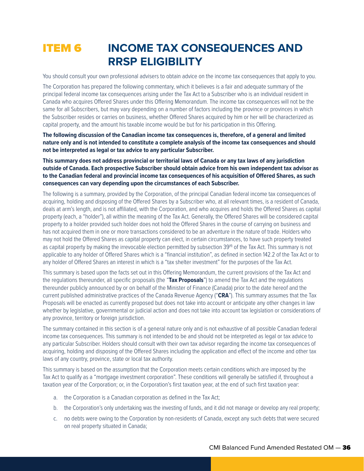## **ITEM 6 INCOME TAX CONSEQUENCES AND RRSP ELIGIBILITY**

You should consult your own professional advisers to obtain advice on the income tax consequences that apply to you.

The Corporation has prepared the following commentary, which it believes is a fair and adequate summary of the principal federal income tax consequences arising under the Tax Act to a Subscriber who is an individual resident in Canada who acquires Offered Shares under this Offering Memorandum. The income tax consequences will not be the same for all Subscribers, but may vary depending on a number of factors including the province or provinces in which the Subscriber resides or carries on business, whether Offered Shares acquired by him or her will be characterized as capital property, and the amount his taxable income would be but for his participation in this Offering.

**The following discussion of the Canadian income tax consequences is, therefore, of a general and limited nature only and is not intended to constitute a complete analysis of the income tax consequences and should not be interpreted as legal or tax advice to any particular Subscriber.**

**This summary does not address provincial or territorial laws of Canada or any tax laws of any jurisdiction outside of Canada. Each prospective Subscriber should obtain advice from his own independent tax advisor as to the Canadian federal and provincial income tax consequences of his acquisition of Offered Shares, as such consequences can vary depending upon the circumstances of each Subscriber.**

The following is a summary, provided by the Corporation, of the principal Canadian federal income tax consequences of acquiring, holding and disposing of the Offered Shares by a Subscriber who, at all relevant times, is a resident of Canada, deals at arm's length, and is not affiliated, with the Corporation, and who acquires and holds the Offered Shares as capital property (each, a "holder"), all within the meaning of the Tax Act. Generally, the Offered Shares will be considered capital property to a holder provided such holder does not hold the Offered Shares in the course of carrying on business and has not acquired them in one or more transactions considered to be an adventure in the nature of trade. Holders who may not hold the Offered Shares as capital property can elect, in certain circumstances, to have such property treated as capital property by making the irrevocable election permitted by subsection 39<sup>(4)</sup> of the Tax Act. This summary is not applicable to any holder of Offered Shares which is a "financial institution", as defined in section 142.2 of the Tax Act or to any holder of Offered Shares an interest in which is a "tax shelter investment" for the purposes of the Tax Act.

This summary is based upon the facts set out in this Offering Memorandum, the current provisions of the Tax Act and the regulations thereunder, all specific proposals (the "**Tax Proposals**") to amend the Tax Act and the regulations thereunder publicly announced by or on behalf of the Minister of Finance (Canada) prior to the date hereof and the current published administrative practices of the Canada Revenue Agency ("**CRA**"). This summary assumes that the Tax Proposals will be enacted as currently proposed but does not take into account or anticipate any other changes in law whether by legislative, governmental or judicial action and does not take into account tax legislation or considerations of any province, territory or foreign jurisdiction.

The summary contained in this section is of a general nature only and is not exhaustive of all possible Canadian federal income tax consequences. This summary is not intended to be and should not be interpreted as legal or tax advice to any particular Subscriber. Holders should consult with their own tax advisor regarding the income tax consequences of acquiring, holding and disposing of the Offered Shares including the application and effect of the income and other tax laws of any country, province, state or local tax authority.

This summary is based on the assumption that the Corporation meets certain conditions which are imposed by the Tax Act to qualify as a "mortgage investment corporation". These conditions will generally be satisfied if, throughout a taxation year of the Corporation; or, in the Corporation's first taxation year, at the end of such first taxation year:

- a. the Corporation is a Canadian corporation as defined in the Tax Act;
- b. the Corporation's only undertaking was the investing of funds, and it did not manage or develop any real property;
- c. no debts were owing to the Corporation by non-residents of Canada, except any such debts that were secured on real property situated in Canada;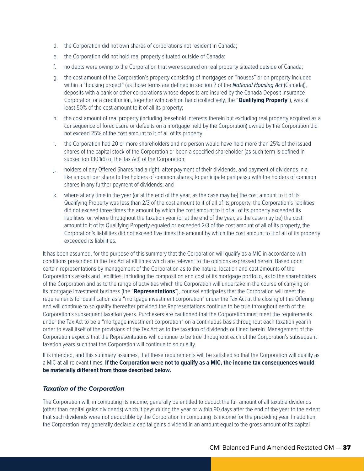- d. the Corporation did not own shares of corporations not resident in Canada;
- e. the Corporation did not hold real property situated outside of Canada;
- f. no debts were owing to the Corporation that were secured on real property situated outside of Canada;
- g. the cost amount of the Corporation's property consisting of mortgages on "houses" or on property included within a "housing project" (as those terms are defined in section 2 of the *National Housing Act* (Canada)), deposits with a bank or other corporations whose deposits are insured by the Canada Deposit Insurance Corporation or a credit union, together with cash on hand (collectively, the "**Qualifying Property**"), was at least 50% of the cost amount to it of all its property;
- h. the cost amount of real property (including leasehold interests therein but excluding real property acquired as a consequence of foreclosure or defaults on a mortgage held by the Corporation) owned by the Corporation did not exceed 25% of the cost amount to it of all of its property;
- i. the Corporation had 20 or more shareholders and no person would have held more than 25% of the issued shares of the capital stock of the Corporation or been a specified shareholder (as such term is defined in subsection 130.1(6) of the Tax Act) of the Corporation;
- j. holders of any Offered Shares had a right, after payment of their dividends, and payment of dividends in a like amount per share to the holders of common shares, to participate pari passu with the holders of common shares in any further payment of dividends; and
- k. where at any time in the year (or at the end of the year, as the case may be) the cost amount to it of its Qualifying Property was less than 2/3 of the cost amount to it of all of its property, the Corporation's liabilities did not exceed three times the amount by which the cost amount to it of all of its property exceeded its liabilities, or, where throughout the taxation year (or at the end of the year, as the case may be) the cost amount to it of its Qualifying Property equaled or exceeded 2/3 of the cost amount of all of its property, the Corporation's liabilities did not exceed five times the amount by which the cost amount to it of all of its property exceeded its liabilities.

It has been assumed, for the purpose of this summary that the Corporation will qualify as a MIC in accordance with conditions prescribed in the Tax Act at all times which are relevant to the opinions expressed herein. Based upon certain representations by management of the Corporation as to the nature, location and cost amounts of the Corporation's assets and liabilities, including the composition and cost of its mortgage portfolio, as to the shareholders of the Corporation and as to the range of activities which the Corporation will undertake in the course of carrying on its mortgage investment business (the "**Representations**"), counsel anticipates that the Corporation will meet the requirements for qualification as a "mortgage investment corporation" under the Tax Act at the closing of this Offering and will continue to so qualify thereafter provided the Representations continue to be true throughout each of the Corporation's subsequent taxation years. Purchasers are cautioned that the Corporation must meet the requirements under the Tax Act to be a "mortgage investment corporation" on a continuous basis throughout each taxation year in order to avail itself of the provisions of the Tax Act as to the taxation of dividends outlined herein. Management of the Corporation expects that the Representations will continue to be true throughout each of the Corporation's subsequent taxation years such that the Corporation will continue to so qualify.

It is intended, and this summary assumes, that these requirements will be satisfied so that the Corporation will qualify as a MIC at all relevant times. **If the Corporation were not to qualify as a MIC, the income tax consequences would be materially different from those described below.**

#### *Taxation of the Corporation*

The Corporation will, in computing its income, generally be entitled to deduct the full amount of all taxable dividends (other than capital gains dividends) which it pays during the year or within 90 days after the end of the year to the extent that such dividends were not deductible by the Corporation in computing its income for the preceding year. In addition, the Corporation may generally declare a capital gains dividend in an amount equal to the gross amount of its capital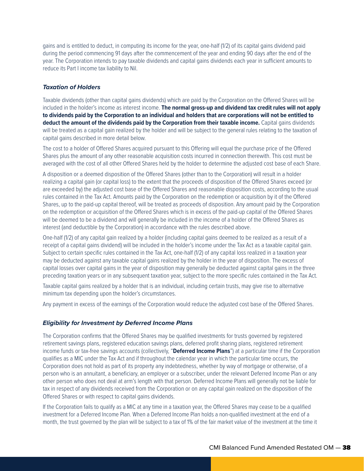gains and is entitled to deduct, in computing its income for the year, one-half (1/2) of its capital gains dividend paid during the period commencing 91 days after the commencement of the year and ending 90 days after the end of the year. The Corporation intends to pay taxable dividends and capital gains dividends each year in sufficient amounts to reduce its Part I income tax liability to Nil.

#### *Taxation of Holders*

Taxable dividends (other than capital gains dividends) which are paid by the Corporation on the Offered Shares will be included in the holder's income as interest income. **The normal gross-up and dividend tax credit rules will not apply to dividends paid by the Corporation to an individual and holders that are corporations will not be entitled to deduct the amount of the dividends paid by the Corporation from their taxable income.** Capital gains dividends will be treated as a capital gain realized by the holder and will be subject to the general rules relating to the taxation of capital gains described in more detail below.

The cost to a holder of Offered Shares acquired pursuant to this Offering will equal the purchase price of the Offered Shares plus the amount of any other reasonable acquisition costs incurred in connection therewith. This cost must be averaged with the cost of all other Offered Shares held by the holder to determine the adjusted cost base of each Share.

A disposition or a deemed disposition of the Offered Shares (other than to the Corporation) will result in a holder realizing a capital gain (or capital loss) to the extent that the proceeds of disposition of the Offered Shares exceed (or are exceeded by) the adjusted cost base of the Offered Shares and reasonable disposition costs, according to the usual rules contained in the Tax Act. Amounts paid by the Corporation on the redemption or acquisition by it of the Offered Shares, up to the paid-up capital thereof, will be treated as proceeds of disposition. Any amount paid by the Corporation on the redemption or acquisition of the Offered Shares which is in excess of the paid-up capital of the Offered Shares will be deemed to be a dividend and will generally be included in the income of a holder of the Offered Shares as interest (and deductible by the Corporation) in accordance with the rules described above.

One-half (1/2) of any capital gain realized by a holder (including capital gains deemed to be realized as a result of a receipt of a capital gains dividend) will be included in the holder's income under the Tax Act as a taxable capital gain. Subject to certain specific rules contained in the Tax Act, one-half (1/2) of any capital loss realized in a taxation year may be deducted against any taxable capital gains realized by the holder in the year of disposition. The excess of capital losses over capital gains in the year of disposition may generally be deducted against capital gains in the three preceding taxation years or in any subsequent taxation year, subject to the more specific rules contained in the Tax Act.

Taxable capital gains realized by a holder that is an individual, including certain trusts, may give rise to alternative minimum tax depending upon the holder's circumstances.

Any payment in excess of the earnings of the Corporation would reduce the adjusted cost base of the Offered Shares.

#### *Eligibility for Investment by Deferred Income Plans*

The Corporation confirms that the Offered Shares may be qualified investments for trusts governed by registered retirement savings plans, registered education savings plans, deferred profit sharing plans, registered retirement income funds or tax-free savings accounts (collectively, "**Deferred Income Plans**") at a particular time if the Corporation qualifies as a MIC under the Tax Act and if throughout the calendar year in which the particular time occurs, the Corporation does not hold as part of its property any indebtedness, whether by way of mortgage or otherwise, of a person who is an annuitant, a beneficiary, an employer or a subscriber, under the relevant Deferred Income Plan or any other person who does not deal at arm's length with that person. Deferred Income Plans will generally not be liable for tax in respect of any dividends received from the Corporation or on any capital gain realized on the disposition of the Offered Shares or with respect to capital gains dividends.

If the Corporation fails to qualify as a MIC at any time in a taxation year, the Offered Shares may cease to be a qualified investment for a Deferred Income Plan. When a Deferred Income Plan holds a non-qualified investment at the end of a month, the trust governed by the plan will be subject to a tax of 1% of the fair market value of the investment at the time it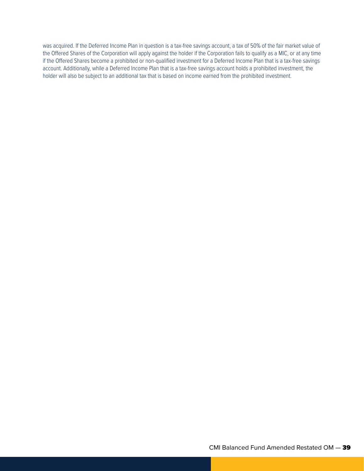was acquired. If the Deferred Income Plan in question is a tax-free savings account, a tax of 50% of the fair market value of the Offered Shares of the Corporation will apply against the holder if the Corporation fails to qualify as a MIC, or at any time if the Offered Shares become a prohibited or non-qualified investment for a Deferred Income Plan that is a tax-free savings account. Additionally, while a Deferred Income Plan that is a tax-free savings account holds a prohibited investment, the holder will also be subject to an additional tax that is based on income earned from the prohibited investment.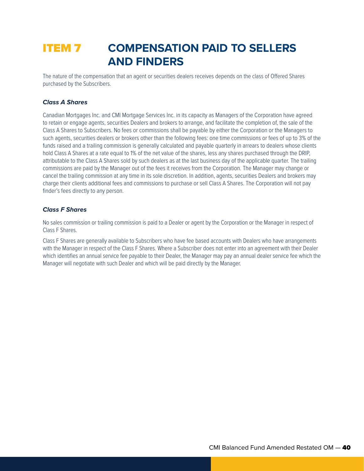## ITEM 7 **COMPENSATION PAID TO SELLERS AND FINDERS**

The nature of the compensation that an agent or securities dealers receives depends on the class of Offered Shares purchased by the Subscribers.

#### *Class A Shares*

Canadian Mortgages Inc. and CMI Mortgage Services Inc. in its capacity as Managers of the Corporation have agreed to retain or engage agents, securities Dealers and brokers to arrange, and facilitate the completion of, the sale of the Class A Shares to Subscribers. No fees or commissions shall be payable by either the Corporation or the Managers to such agents, securities dealers or brokers other than the following fees: one time commissions or fees of up to 3% of the funds raised and a trailing commission is generally calculated and payable quarterly in arrears to dealers whose clients hold Class A Shares at a rate equal to 1% of the net value of the shares, less any shares purchased through the DRIP, attributable to the Class A Shares sold by such dealers as at the last business day of the applicable quarter. The trailing commissions are paid by the Manager out of the fees it receives from the Corporation. The Manager may change or cancel the trailing commission at any time in its sole discretion. In addition, agents, securities Dealers and brokers may charge their clients additional fees and commissions to purchase or sell Class A Shares. The Corporation will not pay finder's fees directly to any person.

#### *Class F Shares*

No sales commission or trailing commission is paid to a Dealer or agent by the Corporation or the Manager in respect of Class F Shares.

Class F Shares are generally available to Subscribers who have fee based accounts with Dealers who have arrangements with the Manager in respect of the Class F Shares. Where a Subscriber does not enter into an agreement with their Dealer which identifies an annual service fee payable to their Dealer, the Manager may pay an annual dealer service fee which the Manager will negotiate with such Dealer and which will be paid directly by the Manager.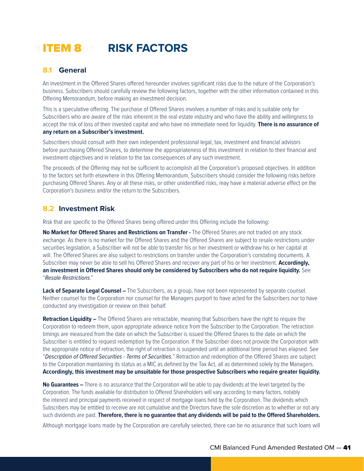## ITEM 8 **RISK FACTORS**

## **8.1 General**

An investment in the Offered Shares offered hereunder involves significant risks due to the nature of the Corporation's business. Subscribers should carefully review the following factors, together with the other information contained in this Offering Memorandum, before making an investment decision.

This is a speculative offering. The purchase of Offered Shares involves a number of risks and is suitable only for Subscribers who are aware of the risks inherent in the real estate industry and who have the ability and willingness to accept the risk of loss of their invested capital and who have no immediate need for liquidity. **There is no assurance of any return on a Subscriber's investment.**

Subscribers should consult with their own independent professional legal, tax, investment and financial advisors before purchasing Offered Shares, to determine the appropriateness of this investment in relation to their financial and investment objectives and in relation to the tax consequences of any such investment.

The proceeds of the Offering may not be sufficient to accomplish all the Corporation's proposed objectives. In addition to the factors set forth elsewhere in this Offering Memorandum, Subscribers should consider the following risks before purchasing Offered Shares. Any or all these risks, or other unidentified risks, may have a material adverse effect on the Corporation's business and/or the return to the Subscribers.

## **8.2 Investment Risk**

Risk that are specific to the Offered Shares being offered under this Offering include the following:

**No Market for Offered Shares and Restrictions on Transfer -** The Offered Shares are not traded on any stock exchange. As there is no market for the Offered Shares and the Offered Shares are subject to resale restrictions under securities legislation, a Subscriber will not be able to transfer his or her investment or withdraw his or her capital at will. The Offered Shares are also subject to restrictions on transfer under the Corporation's constating documents. A Subscriber may never be able to sell his Offered Shares and recover any part of his or her investment. **Accordingly, an investment in Offered Shares should only be considered by Subscribers who do not require liquidity.** See "*Resale Restrictions*."

**Lack of Separate Legal Counsel –** The Subscribers, as a group, have not been represented by separate counsel. Neither counsel for the Corporation nor counsel for the Managers purport to have acted for the Subscribers nor to have conducted any investigation or review on their behalf.

**Retraction Liquidity –** The Offered Shares are retractable, meaning that Subscribers have the right to require the Corporation to redeem them, upon appropriate advance notice from the Subscriber to the Corporation. The retraction timings are measured from the date on which the Subscriber is issued the Offered Shares to the date on which the Subscriber is entitled to request redemption by the Corporation. If the Subscriber does not provide the Corporation with the appropriate notice of retraction, the right of retraction is suspended until an additional time period has elapsed. See "*Description of Offered Securities - Terms of Securities.*" Retraction and redemption of the Offered Shares are subject to the Corporation maintaining its status as a MIC as defined by the Tax Act, all as determined solely by the Managers. **Accordingly, this investment may be unsuitable for those prospective Subscribers who require greater liquidity.**

**No Guarantees –** There is no assurance that the Corporation will be able to pay dividends at the level targeted by the Corporation. The funds available for distribution to Offered Shareholders will vary according to many factors, notably the interest and principal payments received in respect of mortgage loans held by the Corporation. The dividends which Subscribers may be entitled to receive are not cumulative and the Directors have the sole discretion as to whether or not any such dividends are paid. **Therefore, there is no guarantee that any dividends will be paid to the Offered Shareholders.**

Although mortgage loans made by the Corporation are carefully selected, there can be no assurance that such loans will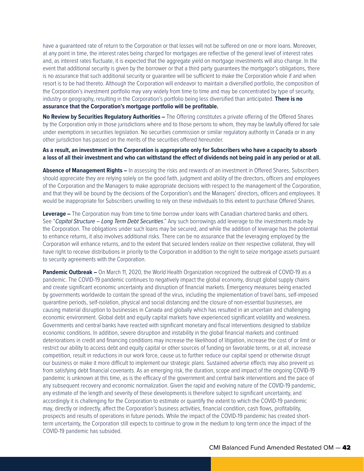have a guaranteed rate of return to the Corporation or that losses will not be suffered on one or more loans. Moreover, at any point in time, the interest rates being charged for mortgages are reflective of the general level of interest rates and, as interest rates fluctuate, it is expected that the aggregate yield on mortgage investments will also change. In the event that additional security is given by the borrower or that a third party guarantees the mortgagor's obligations, there is no assurance that such additional security or guarantee will be sufficient to make the Corporation whole if and when resort is to be had thereto. Although the Corporation will endeavor to maintain a diversified portfolio, the composition of the Corporation's investment portfolio may vary widely from time to time and may be concentrated by type of security, industry or geography, resulting in the Corporation's portfolio being less diversified than anticipated. **There is no assurance that the Corporation's mortgage portfolio will be profitable.**

**No Review by Securities Regulatory Authorities –** The Offering constitutes a private offering of the Offered Shares by the Corporation only in those jurisdictions where and to those persons to whom, they may be lawfully offered for sale under exemptions in securities legislation. No securities commission or similar regulatory authority in Canada or in any other jurisdiction has passed on the merits of the securities offered hereunder.

#### **As a result, an investment in the Corporation is appropriate only for Subscribers who have a capacity to absorb a loss of all their investment and who can withstand the effect of dividends not being paid in any period or at all.**

**Absence of Management Rights –** In assessing the risks and rewards of an investment in Offered Shares, Subscribers should appreciate they are relying solely on the good faith, judgment and ability of the directors, officers and employees of the Corporation and the Managers to make appropriate decisions with respect to the management of the Corporation, and that they will be bound by the decisions of the Corporation's and the Managers' directors, officers and employees. It would be inappropriate for Subscribers unwilling to rely on these individuals to this extent to purchase Offered Shares.

**Leverage –** The Corporation may from time to time borrow under loans with Canadian chartered banks and others. See "*Capital Structure – Long Term Debt Securities*." Any such borrowings add leverage to the investments made by the Corporation. The obligations under such loans may be secured, and while the addition of leverage has the potential to enhance returns, it also involves additional risks. There can be no assurance that the leveraging employed by the Corporation will enhance returns, and to the extent that secured lenders realize on their respective collateral, they will have right to receive distributions in priority to the Corporation in addition to the right to seize mortgage assets pursuant to security agreements with the Corporation.

**Pandemic Outbreak –** On March 11, 2020, the World Health Organization recognized the outbreak of COVID-19 as a pandemic. The COVID-19 pandemic continues to negatively impact the global economy, disrupt global supply chains and create significant economic uncertainty and disruption of financial markets. Emergency measures being enacted by governments worldwide to contain the spread of the virus, including the implementation of travel bans, self-imposed quarantine periods, self-isolation, physical and social distancing and the closure of non-essential businesses, are causing material disruption to businesses in Canada and globally which has resulted in an uncertain and challenging economic environment. Global debt and equity capital markets have experienced significant volatility and weakness. Governments and central banks have reacted with significant monetary and fiscal interventions designed to stabilize economic conditions. In addition, severe disruption and instability in the global financial markets and continued deteriorations in credit and financing conditions may increase the likelihood of litigation, increase the cost of or limit or restrict our ability to access debt and equity capital or other sources of funding on favorable terms, or at all, increase competition, result in reductions in our work force, cause us to further reduce our capital spend or otherwise disrupt our business or make it more difficult to implement our strategic plans. Sustained adverse effects may also prevent us from satisfying debt financial covenants. As an emerging risk, the duration, scope and impact of the ongoing COVID-19 pandemic is unknown at this time, as is the efficacy of the government and central bank interventions and the pace of any subsequent recovery and economic normalization. Given the rapid and evolving nature of the COVID-19 pandemic, any estimate of the length and severity of these developments is therefore subject to significant uncertainty, and accordingly it is challenging for the Corporation to estimate or quantify the extent to which the COVID-19 pandemic may, directly or indirectly, affect the Corporation's business activities, financial condition, cash flows, profitability, prospects and results of operations in future periods. While the impact of the COVID-19 pandemic has created shortterm uncertainty, the Corporation still expects to continue to grow in the medium to long term once the impact of the COVID-19 pandemic has subsided.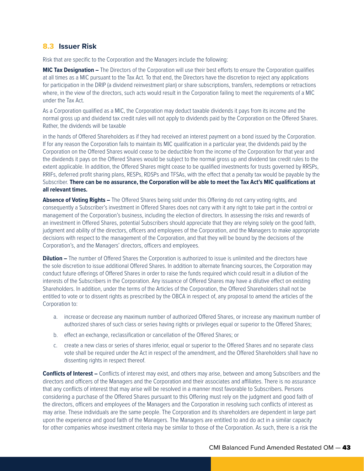### **8.3 Issuer Risk**

Risk that are specific to the Corporation and the Managers include the following:

**MIC Tax Designation –** The Directors of the Corporation will use their best efforts to ensure the Corporation qualifies at all times as a MIC pursuant to the Tax Act. To that end, the Directors have the discretion to reject any applications for participation in the DRIP (a dividend reinvestment plan) or share subscriptions, transfers, redemptions or retractions where, in the view of the directors, such acts would result in the Corporation failing to meet the requirements of a MIC under the Tax Act.

As a Corporation qualified as a MIC, the Corporation may deduct taxable dividends it pays from its income and the normal gross up and dividend tax credit rules will not apply to dividends paid by the Corporation on the Offered Shares. Rather, the dividends will be taxable

in the hands of Offered Shareholders as if they had received an interest payment on a bond issued by the Corporation. If for any reason the Corporation fails to maintain its MIC qualification in a particular year, the dividends paid by the Corporation on the Offered Shares would cease to be deductible from the income of the Corporation for that year and the dividends it pays on the Offered Shares would be subject to the normal gross up and dividend tax credit rules to the extent applicable. In addition, the Offered Shares might cease to be qualified investments for trusts governed by RRSPs, RRIFs, deferred profit sharing plans, RESPs, RDSPs and TFSAs, with the effect that a penalty tax would be payable by the Subscriber. **There can be no assurance, the Corporation will be able to meet the Tax Act's MIC qualifications at all relevant times.**

**Absence of Voting Rights –** The Offered Shares being sold under this Offering do not carry voting rights, and consequently a Subscriber's investment in Offered Shares does not carry with it any right to take part in the control or management of the Corporation's business, including the election of directors. In assessing the risks and rewards of an investment in Offered Shares, potential Subscribers should appreciate that they are relying solely on the good faith, judgment and ability of the directors, officers and employees of the Corporation, and the Managers to make appropriate decisions with respect to the management of the Corporation, and that they will be bound by the decisions of the Corporation's, and the Managers' directors, officers and employees.

**Dilution –** The number of Offered Shares the Corporation is authorized to issue is unlimited and the directors have the sole discretion to issue additional Offered Shares. In addition to alternate financing sources, the Corporation may conduct future offerings of Offered Shares in order to raise the funds required which could result in a dilution of the interests of the Subscribers in the Corporation. Any issuance of Offered Shares may have a dilutive effect on existing Shareholders. In addition, under the terms of the Articles of the Corporation, the Offered Shareholders shall not be entitled to vote or to dissent rights as prescribed by the OBCA in respect of, any proposal to amend the articles of the Corporation to:

- a. increase or decrease any maximum number of authorized Offered Shares, or increase any maximum number of authorized shares of such class or series having rights or privileges equal or superior to the Offered Shares;
- b. effect an exchange, reclassification or cancellation of the Offered Shares; or
- c. create a new class or series of shares inferior, equal or superior to the Offered Shares and no separate class vote shall be required under the Act in respect of the amendment, and the Offered Shareholders shall have no dissenting rights in respect thereof.

**Conflicts of Interest –** Conflicts of interest may exist, and others may arise, between and among Subscribers and the directors and officers of the Managers and the Corporation and their associates and affiliates. There is no assurance that any conflicts of interest that may arise will be resolved in a manner most favorable to Subscribers. Persons considering a purchase of the Offered Shares pursuant to this Offering must rely on the judgment and good faith of the directors, officers and employees of the Managers and the Corporation in resolving such conflicts of interest as may arise. These individuals are the same people. The Corporation and its shareholders are dependent in large part upon the experience and good faith of the Managers. The Managers are entitled to and do act in a similar capacity for other companies whose investment criteria may be similar to those of the Corporation. As such, there is a risk the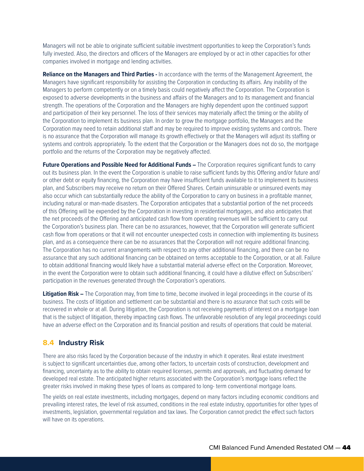Managers will not be able to originate sufficient suitable investment opportunities to keep the Corporation's funds fully invested. Also, the directors and officers of the Managers are employed by or act in other capacities for other companies involved in mortgage and lending activities.

**Reliance on the Managers and Third Parties -** In accordance with the terms of the Management Agreement, the Managers have significant responsibility for assisting the Corporation in conducting its affairs. Any inability of the Managers to perform competently or on a timely basis could negatively affect the Corporation. The Corporation is exposed to adverse developments in the business and affairs of the Managers and to its management and financial strength. The operations of the Corporation and the Managers are highly dependent upon the continued support and participation of their key personnel. The loss of their services may materially affect the timing or the ability of the Corporation to implement its business plan. In order to grow the mortgage portfolio, the Managers and the Corporation may need to retain additional staff and may be required to improve existing systems and controls. There is no assurance that the Corporation will manage its growth effectively or that the Managers will adjust its staffing or systems and controls appropriately. To the extent that the Corporation or the Managers does not do so, the mortgage portfolio and the returns of the Corporation may be negatively affected.

**Future Operations and Possible Need for Additional Funds –** The Corporation requires significant funds to carry out its business plan. In the event the Corporation is unable to raise sufficient funds by this Offering and/or future and/ or other debt or equity financing, the Corporation may have insufficient funds available to it to implement its business plan, and Subscribers may receive no return on their Offered Shares. Certain uninsurable or uninsured events may also occur which can substantially reduce the ability of the Corporation to carry on business in a profitable manner, including natural or man-made disasters. The Corporation anticipates that a substantial portion of the net proceeds of this Offering will be expended by the Corporation in investing in residential mortgages, and also anticipates that the net proceeds of the Offering and anticipated cash flow from operating revenues will be sufficient to carry out the Corporation's business plan. There can be no assurances, however, that the Corporation will generate sufficient cash flow from operations or that it will not encounter unexpected costs in connection with implementing its business plan, and as a consequence there can be no assurances that the Corporation will not require additional financing. The Corporation has no current arrangements with respect to any other additional financing, and there can be no assurance that any such additional financing can be obtained on terms acceptable to the Corporation, or at all. Failure to obtain additional financing would likely have a substantial material adverse effect on the Corporation. Moreover, in the event the Corporation were to obtain such additional financing, it could have a dilutive effect on Subscribers' participation in the revenues generated through the Corporation's operations.

**Litigation Risk –** The Corporation may, from time to time, become involved in legal proceedings in the course of its business. The costs of litigation and settlement can be substantial and there is no assurance that such costs will be recovered in whole or at all. During litigation, the Corporation is not receiving payments of interest on a mortgage loan that is the subject of litigation, thereby impacting cash flows. The unfavorable resolution of any legal proceedings could have an adverse effect on the Corporation and its financial position and results of operations that could be material.

## **8.4 Industry Risk**

There are also risks faced by the Corporation because of the industry in which it operates. Real estate investment is subject to significant uncertainties due, among other factors, to uncertain costs of construction, development and financing, uncertainty as to the ability to obtain required licenses, permits and approvals, and fluctuating demand for developed real estate. The anticipated higher returns associated with the Corporation's mortgage loans reflect the greater risks involved in making these types of loans as compared to long- term conventional mortgage loans.

The yields on real estate investments, including mortgages, depend on many factors including economic conditions and prevailing interest rates, the level of risk assumed, conditions in the real estate industry, opportunities for other types of investments, legislation, governmental regulation and tax laws. The Corporation cannot predict the effect such factors will have on its operations.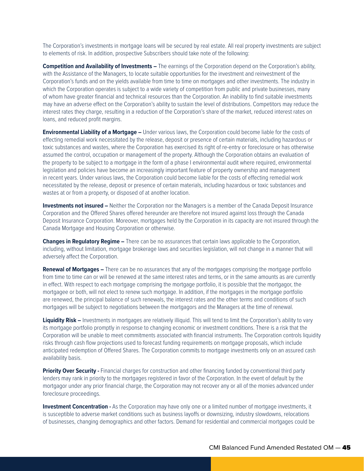The Corporation's investments in mortgage loans will be secured by real estate. All real property investments are subject to elements of risk. In addition, prospective Subscribers should take note of the following:

**Competition and Availability of Investments –** The earnings of the Corporation depend on the Corporation's ability, with the Assistance of the Managers, to locate suitable opportunities for the investment and reinvestment of the Corporation's funds and on the yields available from time to time on mortgages and other investments. The industry in which the Corporation operates is subject to a wide variety of competition from public and private businesses, many of whom have greater financial and technical resources than the Corporation. An inability to find suitable investments may have an adverse effect on the Corporation's ability to sustain the level of distributions. Competitors may reduce the interest rates they charge, resulting in a reduction of the Corporation's share of the market, reduced interest rates on loans, and reduced profit margins.

**Environmental Liability of a Mortgage –** Under various laws, the Corporation could become liable for the costs of effecting remedial work necessitated by the release, deposit or presence of certain materials, including hazardous or toxic substances and wastes, where the Corporation has exercised its right of re-entry or foreclosure or has otherwise assumed the control, occupation or management of the property. Although the Corporation obtains an evaluation of the property to be subject to a mortgage in the form of a phase I environmental audit where required, environmental legislation and policies have become an increasingly important feature of property ownership and management in recent years. Under various laws, the Corporation could become liable for the costs of effecting remedial work necessitated by the release, deposit or presence of certain materials, including hazardous or toxic substances and wastes at or from a property, or disposed of at another location.

**Investments not insured –** Neither the Corporation nor the Managers is a member of the Canada Deposit Insurance Corporation and the Offered Shares offered hereunder are therefore not insured against loss through the Canada Deposit Insurance Corporation. Moreover, mortgages held by the Corporation in its capacity are not insured through the Canada Mortgage and Housing Corporation or otherwise.

**Changes in Regulatory Regime –** There can be no assurances that certain laws applicable to the Corporation, including, without limitation, mortgage brokerage laws and securities legislation, will not change in a manner that will adversely affect the Corporation.

**Renewal of Mortgages –** There can be no assurances that any of the mortgages comprising the mortgage portfolio from time to time can or will be renewed at the same interest rates and terms, or in the same amounts as are currently in effect. With respect to each mortgage comprising the mortgage portfolio, it is possible that the mortgagor, the mortgagee or both, will not elect to renew such mortgage. In addition, if the mortgages in the mortgage portfolio are renewed, the principal balance of such renewals, the interest rates and the other terms and conditions of such mortgages will be subject to negotiations between the mortgagors and the Managers at the time of renewal.

**Liquidity Risk –** Investments in mortgages are relatively illiquid. This will tend to limit the Corporation's ability to vary its mortgage portfolio promptly in response to changing economic or investment conditions. There is a risk that the Corporation will be unable to meet commitments associated with financial instruments. The Corporation controls liquidity risks through cash flow projections used to forecast funding requirements on mortgage proposals, which include anticipated redemption of Offered Shares. The Corporation commits to mortgage investments only on an assured cash availability basis.

**Priority Over Security -** Financial charges for construction and other financing funded by conventional third party lenders may rank in priority to the mortgages registered in favor of the Corporation. In the event of default by the mortgagor under any prior financial charge, the Corporation may not recover any or all of the monies advanced under foreclosure proceedings.

**Investment Concentration -** As the Corporation may have only one or a limited number of mortgage investments, it is susceptible to adverse market conditions such as business layoffs or downsizing, industry slowdowns, relocations of businesses, changing demographics and other factors. Demand for residential and commercial mortgages could be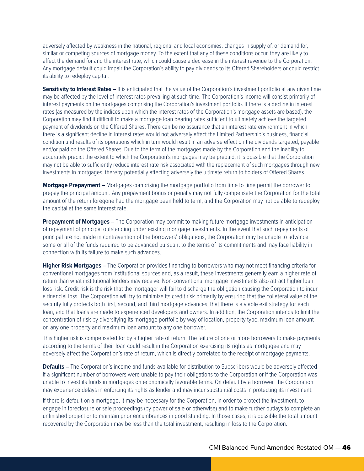adversely affected by weakness in the national, regional and local economies, changes in supply of, or demand for, similar or competing sources of mortgage money. To the extent that any of these conditions occur, they are likely to affect the demand for and the interest rate, which could cause a decrease in the interest revenue to the Corporation. Any mortgage default could impair the Corporation's ability to pay dividends to its Offered Shareholders or could restrict its ability to redeploy capital.

**Sensitivity to Interest Rates –** It is anticipated that the value of the Corporation's investment portfolio at any given time may be affected by the level of interest rates prevailing at such time. The Corporation's income will consist primarily of interest payments on the mortgages comprising the Corporation's investment portfolio. If there is a decline in interest rates (as measured by the indices upon which the interest rates of the Corporation's mortgage assets are based), the Corporation may find it difficult to make a mortgage loan bearing rates sufficient to ultimately achieve the targeted payment of dividends on the Offered Shares. There can be no assurance that an interest rate environment in which there is a significant decline in interest rates would not adversely affect the Limited Partnership's business, financial condition and results of its operations which in turn would result in an adverse effect on the dividends targeted, payable and/or paid on the Offered Shares. Due to the term of the mortgages made by the Corporation and the inability to accurately predict the extent to which the Corporation's mortgages may be prepaid, it is possible that the Corporation may not be able to sufficiently reduce interest rate risk associated with the replacement of such mortgages through new investments in mortgages, thereby potentially affecting adversely the ultimate return to holders of Offered Shares.

**Mortgage Prepayment –** Mortgages comprising the mortgage portfolio from time to time permit the borrower to prepay the principal amount. Any prepayment bonus or penalty may not fully compensate the Corporation for the total amount of the return foregone had the mortgage been held to term, and the Corporation may not be able to redeploy the capital at the same interest rate.

**Prepayment of Mortgages –** The Corporation may commit to making future mortgage investments in anticipation of repayment of principal outstanding under existing mortgage investments. In the event that such repayments of principal are not made in contravention of the borrowers' obligations, the Corporation may be unable to advance some or all of the funds required to be advanced pursuant to the terms of its commitments and may face liability in connection with its failure to make such advances.

**Higher Risk Mortgages –** The Corporation provides financing to borrowers who may not meet financing criteria for conventional mortgages from institutional sources and, as a result, these investments generally earn a higher rate of return than what institutional lenders may receive. Non-conventional mortgage investments also attract higher loan loss risk. Credit risk is the risk that the mortgagor will fail to discharge the obligation causing the Corporation to incur a financial loss. The Corporation will try to minimize its credit risk primarily by ensuring that the collateral value of the security fully protects both first, second, and third mortgage advances, that there is a viable exit strategy for each loan, and that loans are made to experienced developers and owners. In addition, the Corporation intends to limit the concentration of risk by diversifying its mortgage portfolio by way of location, property type, maximum loan amount on any one property and maximum loan amount to any one borrower.

This higher risk is compensated for by a higher rate of return. The failure of one or more borrowers to make payments according to the terms of their loan could result in the Corporation exercising its rights as mortgagee and may adversely affect the Corporation's rate of return, which is directly correlated to the receipt of mortgage payments.

**Defaults –** The Corporation's income and funds available for distribution to Subscribers would be adversely affected if a significant number of borrowers were unable to pay their obligations to the Corporation or if the Corporation was unable to invest its funds in mortgages on economically favorable terms. On default by a borrower, the Corporation may experience delays in enforcing its rights as lender and may incur substantial costs in protecting its investment.

If there is default on a mortgage, it may be necessary for the Corporation, in order to protect the investment, to engage in foreclosure or sale proceedings (by power of sale or otherwise) and to make further outlays to complete an unfinished project or to maintain prior encumbrances in good standing. In those cases, it is possible the total amount recovered by the Corporation may be less than the total investment, resulting in loss to the Corporation.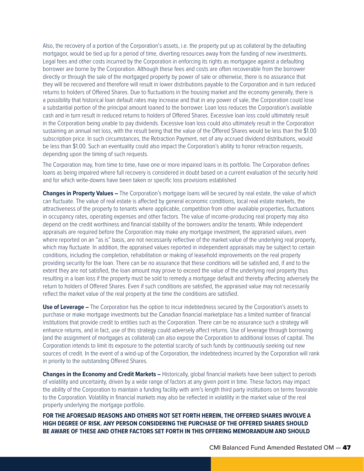Also, the recovery of a portion of the Corporation's assets, i.e. the property put up as collateral by the defaulting mortgagor, would be tied up for a period of time, diverting resources away from the funding of new investments. Legal fees and other costs incurred by the Corporation in enforcing its rights as mortgagee against a defaulting borrower are borne by the Corporation. Although these fees and costs are often recoverable from the borrower directly or through the sale of the mortgaged property by power of sale or otherwise, there is no assurance that they will be recovered and therefore will result in lower distributions payable to the Corporation and in turn reduced returns to holders of Offered Shares. Due to fluctuations in the housing market and the economy generally, there is a possibility that historical loan default rates may increase and that in any power of sale, the Corporation could lose a substantial portion of the principal amount loaned to the borrower. Loan loss reduces the Corporation's available cash and in turn result in reduced returns to holders of Offered Shares. Excessive loan loss could ultimately result in the Corporation being unable to pay dividends. Excessive loan loss could also ultimately result in the Corporation sustaining an annual net loss, with the result being that the value of the Offered Shares would be less than the \$1.00 subscription price. In such circumstances, the Retraction Payment, net of any accrued dividend distributions, would be less than \$1.00. Such an eventuality could also impact the Corporation's ability to honor retraction requests, depending upon the timing of such requests.

The Corporation may, from time to time, have one or more impaired loans in its portfolio. The Corporation defines loans as being impaired where full recovery is considered in doubt based on a current evaluation of the security held and for which write-downs have been taken or specific loss provisions established

**Changes in Property Values –** The Corporation's mortgage loans will be secured by real estate, the value of which can fluctuate. The value of real estate is affected by general economic conditions, local real estate markets, the attractiveness of the property to tenants where applicable, competition from other available properties, fluctuations in occupancy rates, operating expenses and other factors. The value of income-producing real property may also depend on the credit worthiness and financial stability of the borrowers and/or the tenants. While independent appraisals are required before the Corporation may make any mortgage investment, the appraised values, even where reported on an "as is" basis, are not necessarily reflective of the market value of the underlying real property, which may fluctuate. In addition, the appraised values reported in independent appraisals may be subject to certain conditions, including the completion, rehabilitation or making of leasehold improvements on the real property providing security for the loan. There can be no assurance that these conditions will be satisfied and, if and to the extent they are not satisfied, the loan amount may prove to exceed the value of the underlying real property thus resulting in a loan loss if the property must be sold to remedy a mortgage default and thereby affecting adversely the return to holders of Offered Shares. Even if such conditions are satisfied, the appraised value may not necessarily reflect the market value of the real property at the time the conditions are satisfied.

**Use of Leverage –** The Corporation has the option to incur indebtedness secured by the Corporation's assets to purchase or make mortgage investments but the Canadian financial marketplace has a limited number of financial institutions that provide credit to entities such as the Corporation. There can be no assurance such a strategy will enhance returns, and in fact, use of this strategy could adversely affect returns. Use of leverage through borrowing (and the assignment of mortgages as collateral) can also expose the Corporation to additional losses of capital. The Corporation intends to limit its exposure to the potential scarcity of such funds by continuously seeking out new sources of credit. In the event of a wind-up of the Corporation, the indebtedness incurred by the Corporation will rank in priority to the outstanding Offered Shares.

**Changes in the Economy and Credit Markets –** Historically, global financial markets have been subject to periods of volatility and uncertainty, driven by a wide range of factors at any given point in time. These factors may impact the ability of the Corporation to maintain a funding facility with arm's length third party institutions on terms favorable to the Corporation. Volatility in financial markets may also be reflected in volatility in the market value of the real property underlying the mortgage portfolio.

**FOR THE AFORESAID REASONS AND OTHERS NOT SET FORTH HEREIN, THE OFFERED SHARES INVOLVE A HIGH DEGREE OF RISK. ANY PERSON CONSIDERING THE PURCHASE OF THE OFFERED SHARES SHOULD BE AWARE OF THESE AND OTHER FACTORS SET FORTH IN THIS OFFERING MEMORANDUM AND SHOULD**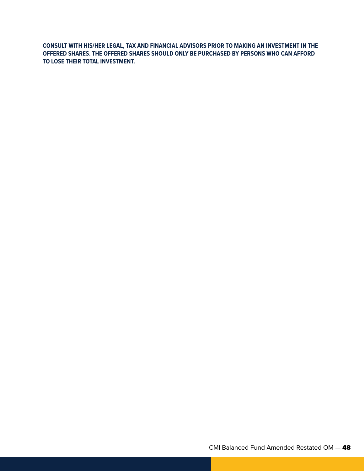**CONSULT WITH HIS/HER LEGAL, TAX AND FINANCIAL ADVISORS PRIOR TO MAKING AN INVESTMENT IN THE OFFERED SHARES. THE OFFERED SHARES SHOULD ONLY BE PURCHASED BY PERSONS WHO CAN AFFORD TO LOSE THEIR TOTAL INVESTMENT.**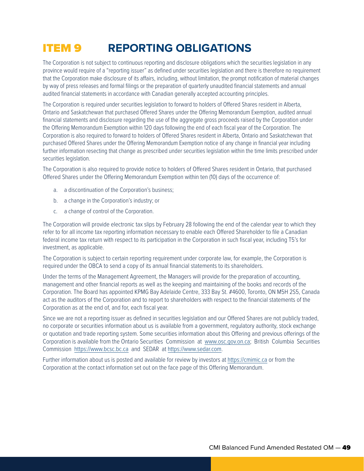## ITEM 9 **REPORTING OBLIGATIONS**

The Corporation is not subject to continuous reporting and disclosure obligations which the securities legislation in any province would require of a "reporting issuer" as defined under securities legislation and there is therefore no requirement that the Corporation make disclosure of its affairs, including, without limitation, the prompt notification of material changes by way of press releases and formal filings or the preparation of quarterly unaudited financial statements and annual audited financial statements in accordance with Canadian generally accepted accounting principles.

The Corporation is required under securities legislation to forward to holders of Offered Shares resident in Alberta, Ontario and Saskatchewan that purchased Offered Shares under the Offering Memorandum Exemption, audited annual financial statements and disclosure regarding the use of the aggregate gross proceeds raised by the Corporation under the Offering Memorandum Exemption within 120 days following the end of each fiscal year of the Corporation. The Corporation is also required to forward to holders of Offered Shares resident in Alberta, Ontario and Saskatchewan that purchased Offered Shares under the Offering Memorandum Exemption notice of any change in financial year including further information resecting that change as prescribed under securities legislation within the time limits prescribed under securities legislation.

The Corporation is also required to provide notice to holders of Offered Shares resident in Ontario, that purchased Offered Shares under the Offering Memorandum Exemption within ten (10) days of the occurrence of:

- a. a discontinuation of the Corporation's business;
- b. a change in the Corporation's industry; or
- c. a change of control of the Corporation.

The Corporation will provide electronic tax slips by February 28 following the end of the calendar year to which they refer to for all income tax reporting information necessary to enable each Offered Shareholder to file a Canadian federal income tax return with respect to its participation in the Corporation in such fiscal year, including T5's for investment, as applicable.

The Corporation is subject to certain reporting requirement under corporate law, for example, the Corporation is required under the OBCA to send a copy of its annual financial statements to its shareholders.

Under the terms of the Management Agreement, the Managers will provide for the preparation of accounting, management and other financial reports as well as the keeping and maintaining of the books and records of the Corporation. The Board has appointed KPMG Bay Adelaide Centre, 333 Bay St. #4600, Toronto, ON M5H 2S5, Canada act as the auditors of the Corporation and to report to shareholders with respect to the financial statements of the Corporation as at the end of, and for, each fiscal year.

Since we are not a reporting issuer as defined in securities legislation and our Offered Shares are not publicly traded, no corporate or securities information about us is available from a government, regulatory authority, stock exchange or quotation and trade reporting system. Some securities information about this Offering and previous offerings of the Corporation is available from the Ontario Securities Commission at [www.osc.gov.on.ca;](www.osc.gov.on.ca) British Columbia Securities Commission [https://www.bcsc.bc.ca](https://www.bcsc.bc.ca/) and SEDAR at [https://www.sedar.com.](https://www.sedar.com)

Further information about us is posted and available for review by investors at [https://cmimic.ca](https://cmimic.ca/) or from the Corporation at the contact information set out on the face page of this Offering Memorandum.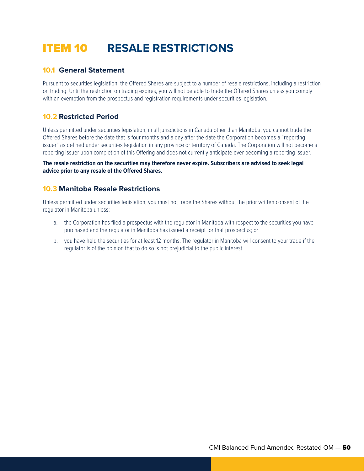## ITEM 10 **RESALE RESTRICTIONS**

## **10.1 General Statement**

Pursuant to securities legislation, the Offered Shares are subject to a number of resale restrictions, including a restriction on trading. Until the restriction on trading expires, you will not be able to trade the Offered Shares unless you comply with an exemption from the prospectus and registration requirements under securities legislation.

## **10.2 Restricted Period**

Unless permitted under securities legislation, in all jurisdictions in Canada other than Manitoba, you cannot trade the Offered Shares before the date that is four months and a day after the date the Corporation becomes a "reporting issuer" as defined under securities legislation in any province or territory of Canada. The Corporation will not become a reporting issuer upon completion of this Offering and does not currently anticipate ever becoming a reporting issuer.

**The resale restriction on the securities may therefore never expire. Subscribers are advised to seek legal advice prior to any resale of the Offered Shares.**

## **10.3 Manitoba Resale Restrictions**

Unless permitted under securities legislation, you must not trade the Shares without the prior written consent of the regulator in Manitoba unless:

- a. the Corporation has filed a prospectus with the regulator in Manitoba with respect to the securities you have purchased and the regulator in Manitoba has issued a receipt for that prospectus; or
- b. you have held the securities for at least 12 months. The regulator in Manitoba will consent to your trade if the regulator is of the opinion that to do so is not prejudicial to the public interest.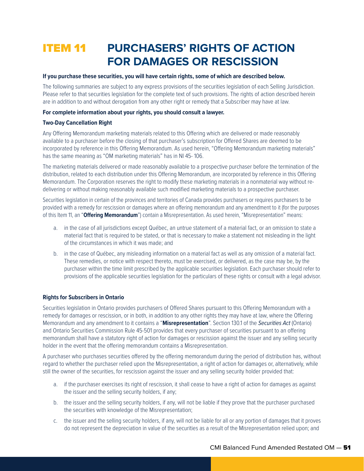## ITEM 11 **PURCHASERS' RIGHTS OF ACTION FOR DAMAGES OR RESCISSION**

#### **If you purchase these securities, you will have certain rights, some of which are described below.**

The following summaries are subject to any express provisions of the securities legislation of each Selling Jurisdiction. Please refer to that securities legislation for the complete text of such provisions. The rights of action described herein are in addition to and without derogation from any other right or remedy that a Subscriber may have at law.

#### **For complete information about your rights, you should consult a lawyer.**

#### **Two-Day Cancellation Right**

Any Offering Memorandum marketing materials related to this Offering which are delivered or made reasonably available to a purchaser before the closing of that purchaser's subscription for Offered Shares are deemed to be incorporated by reference in this Offering Memorandum. As used herein, "Offering Memorandum marketing materials" has the same meaning as "OM marketing materials" has in NI 45- 106.

The marketing materials delivered or made reasonably available to a prospective purchaser before the termination of the distribution, related to each distribution under this Offering Memorandum, are incorporated by reference in this Offering Memorandum. The Corporation reserves the right to modify these marketing materials in a nonmaterial way without redelivering or without making reasonably available such modified marketing materials to a prospective purchaser.

Securities legislation in certain of the provinces and territories of Canada provides purchasers or requires purchasers to be provided with a remedy for rescission or damages where an offering memorandum and any amendment to it (for the purposes of this Item 11, an "**Offering Memorandum**") contain a Misrepresentation. As used herein, "Misrepresentation" means:

- a. in the case of all jurisdictions except Québec, an untrue statement of a material fact, or an omission to state a material fact that is required to be stated, or that is necessary to make a statement not misleading in the light of the circumstances in which it was made; and
- b. in the case of Québec, any misleading information on a material fact as well as any omission of a material fact. These remedies, or notice with respect thereto, must be exercised, or delivered, as the case may be, by the purchaser within the time limit prescribed by the applicable securities legislation. Each purchaser should refer to provisions of the applicable securities legislation for the particulars of these rights or consult with a legal advisor.

#### **Rights for Subscribers in Ontario**

Securities legislation in Ontario provides purchasers of Offered Shares pursuant to this Offering Memorandum with a remedy for damages or rescission, or in both, in addition to any other rights they may have at law, where the Offering Memorandum and any amendment to it contains a "**Misrepresentation**". Section 130.1 of the *Securities Act* (Ontario) and Ontario Securities Commission Rule 45-501 provides that every purchaser of securities pursuant to an offering memorandum shall have a statutory right of action for damages or rescission against the issuer and any selling security holder in the event that the offering memorandum contains a Misrepresentation.

A purchaser who purchases securities offered by the offering memorandum during the period of distribution has, without regard to whether the purchaser relied upon the Misrepresentation, a right of action for damages or, alternatively, while still the owner of the securities, for rescission against the issuer and any selling security holder provided that:

- a. if the purchaser exercises its right of rescission, it shall cease to have a right of action for damages as against the issuer and the selling security holders, if any;
- b. the issuer and the selling security holders, if any, will not be liable if they prove that the purchaser purchased the securities with knowledge of the Misrepresentation;
- c. the issuer and the selling security holders, if any, will not be liable for all or any portion of damages that it proves do not represent the depreciation in value of the securities as a result of the Misrepresentation relied upon; and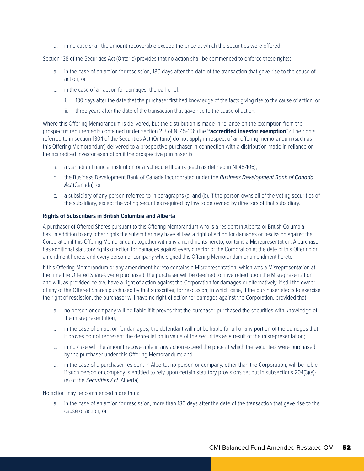d. in no case shall the amount recoverable exceed the price at which the securities were offered.

Section 138 of the Securities Act (Ontario) provides that no action shall be commenced to enforce these rights:

- a. in the case of an action for rescission, 180 days after the date of the transaction that gave rise to the cause of action; or
- b. in the case of an action for damages, the earlier of:
	- i. 180 days after the date that the purchaser first had knowledge of the facts giving rise to the cause of action; or
	- ii. three years after the date of the transaction that gave rise to the cause of action.

Where this Offering Memorandum is delivered, but the distribution is made in reliance on the exemption from the prospectus requirements contained under section 2.3 of NI 45-106 (the **"accredited investor exemption**"): The rights referred to in section 130.1 of the Securities Act (Ontario) do not apply in respect of an offering memorandum (such as this Offering Memorandum) delivered to a prospective purchaser in connection with a distribution made in reliance on the accredited investor exemption if the prospective purchaser is:

- a. a Canadian financial institution or a Schedule III bank (each as defined in NI 45-106);
- b. the Business Development Bank of Canada incorporated under the *Business Development Bank of Canada*  Act (Canada); or
- c. a subsidiary of any person referred to in paragraphs (a) and (b), if the person owns all of the voting securities of the subsidiary, except the voting securities required by law to be owned by directors of that subsidiary.

#### **Rights of Subscribers in British Columbia and Alberta**

A purchaser of Offered Shares pursuant to this Offering Memorandum who is a resident in Alberta or British Columbia has, in addition to any other rights the subscriber may have at law, a right of action for damages or rescission against the Corporation if this Offering Memorandum, together with any amendments hereto, contains a Misrepresentation. A purchaser has additional statutory rights of action for damages against every director of the Corporation at the date of this Offering or amendment hereto and every person or company who signed this Offering Memorandum or amendment hereto.

If this Offering Memorandum or any amendment hereto contains a Misrepresentation, which was a Misrepresentation at the time the Offered Shares were purchased, the purchaser will be deemed to have relied upon the Misrepresentation and will, as provided below, have a right of action against the Corporation for damages or alternatively, if still the owner of any of the Offered Shares purchased by that subscriber, for rescission, in which case, if the purchaser elects to exercise the right of rescission, the purchaser will have no right of action for damages against the Corporation, provided that:

- a. no person or company will be liable if it proves that the purchaser purchased the securities with knowledge of the misrepresentation;
- b. in the case of an action for damages, the defendant will not be liable for all or any portion of the damages that it proves do not represent the depreciation in value of the securities as a result of the misrepresentation;
- c. in no case will the amount recoverable in any action exceed the price at which the securities were purchased by the purchaser under this Offering Memorandum; and
- d. in the case of a purchaser resident in Alberta, no person or company, other than the Corporation, will be liable if such person or company is entitled to rely upon certain statutory provisions set out in subsections 204(3)(a)- (e) of the *Securities Act* (Alberta).

No action may be commenced more than:

a. in the case of an action for rescission, more than 180 days after the date of the transaction that gave rise to the cause of action; or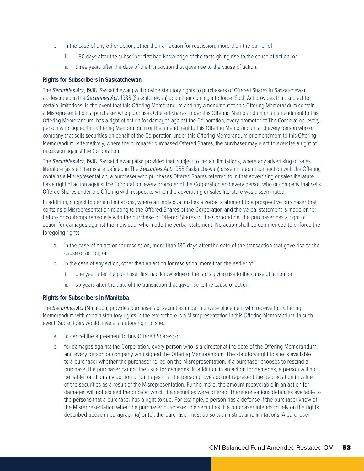- b. in the case of any other action, other than an action for rescission, more than the earlier of
	- i. 180 days after the subscriber first had knowledge of the facts giving rise to the cause of action; or
	- ii. three years after the date of the transaction that gave rise to the cause of action.

#### **Rights for Subscribers in Saskatchewan**

The *Securities Act*, 1988 (Saskatchewan) will provide statutory rights to purchasers of Offered Shares in Saskatchewan as described in the *Securities Act,* 1988 (Saskatchewan) upon their coming into force. Such Act provides that, subject to certain limitations, in the event that this Offering Memorandum and any amendment to this Offering Memorandum contain a Misrepresentation, a purchaser who purchases Offered Shares under this Offering Memorandum or an amendment to this Offering Memorandum, has a right of action for damages against the Corporation, every promoter of The Corporation, every person who signed this Offering Memorandum or the amendment to this Offering Memorandum and every person who or company that sells securities on behalf of the Corporation under this Offering Memorandum or amendment to this Offering Memorandum. Alternatively, where the purchaser purchased Offered Shares, the purchaser may elect to exercise a right of rescission against the Corporation.

The *Securities Act*, 1988 (Saskatchewan) also provides that, subject to certain limitations, where any advertising or sales literature (as such terms are defined in The *Securities Act,* 1988 Saskatchewan) disseminated in connection with the Offering contains a Misrepresentation, a purchaser who purchases Offered Shares referred to in that advertising or sales literature has a right of action against the Corporation, every promoter of the Corporation and every person who or company that sells Offered Shares under the Offering with respect to which the advertising or sales literature was disseminated.

In addition, subject to certain limitations, where an individual makes a verbal statement to a prospective purchaser that contains a Misrepresentation relating to the Offered Shares of the Corporation and the verbal statement is made either before or contemporaneously with the purchase of Offered Shares of the Corporation, the purchaser has a right of action for damages against the individual who made the verbal statement. No action shall be commenced to enforce the foregoing rights:

- a. in the case of an action for rescission, more than 180 days after the date of the transaction that gave rise to the cause of action; or
- b. in the case of any action, other than an action for rescission, more than the earlier of
	- i. one year after the purchaser first had knowledge of the facts giving rise to the cause of action, or
	- ii. six years after the date of the transaction that gave rise to the cause of action.

#### **Rights for Subscribers in Manitoba**

The *Securities Act* (Manitoba) provides purchasers of securities under a private placement who receive this Offering Memorandum with certain statutory rights in the event there is a Misrepresentation in this Offering Memorandum. In such event, Subscribers would have a statutory right to sue:

- a. to cancel the agreement to buy Offered Shares; or
- b. for damages against the Corporation, every person who is a director at the date of the Offering Memorandum, and every person or company who signed the Offering Memorandum. The statutory right to sue is available to a purchaser whether the purchaser relied on the Misrepresentation. If a purchaser chooses to rescind a purchase, the purchaser cannot then sue for damages. In addition, in an action for damages, a person will not be liable for all or any portion of damages that the person proves do not represent the depreciation in value of the securities as a result of the Misrepresentation. Furthermore, the amount recoverable in an action for damages will not exceed the price at which the securities were offered. There are various defenses available to the persons that a purchaser has a right to sue. For example, a person has a defense if the purchaser knew of the Misrepresentation when the purchaser purchased the securities. If a purchaser intends to rely on the rights described above in paragraph (a) or (b), the purchaser must do so within strict time limitations. A purchaser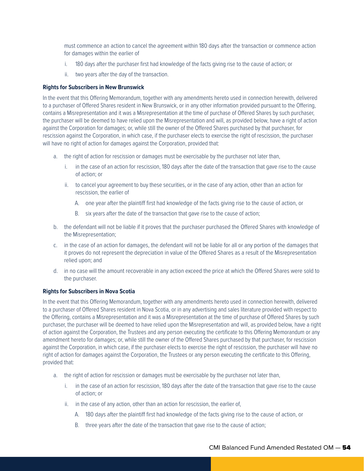must commence an action to cancel the agreement within 180 days after the transaction or commence action for damages within the earlier of

- i. 180 days after the purchaser first had knowledge of the facts giving rise to the cause of action; or
- ii. two years after the day of the transaction.

#### **Rights for Subscribers in New Brunswick**

In the event that this Offering Memorandum, together with any amendments hereto used in connection herewith, delivered to a purchaser of Offered Shares resident in New Brunswick, or in any other information provided pursuant to the Offering, contains a Misrepresentation and it was a Misrepresentation at the time of purchase of Offered Shares by such purchaser, the purchaser will be deemed to have relied upon the Misrepresentation and will, as provided below, have a right of action against the Corporation for damages; or, while still the owner of the Offered Shares purchased by that purchaser, for rescission against the Corporation, in which case, if the purchaser elects to exercise the right of rescission, the purchaser will have no right of action for damages against the Corporation, provided that:

- a. the right of action for rescission or damages must be exercisable by the purchaser not later than,
	- i. in the case of an action for rescission, 180 days after the date of the transaction that gave rise to the cause of action; or
	- ii. to cancel your agreement to buy these securities, or in the case of any action, other than an action for rescission, the earlier of
		- A. one year after the plaintiff first had knowledge of the facts giving rise to the cause of action, or
		- B. six years after the date of the transaction that gave rise to the cause of action;
- b. the defendant will not be liable if it proves that the purchaser purchased the Offered Shares with knowledge of the Misrepresentation;
- c. in the case of an action for damages, the defendant will not be liable for all or any portion of the damages that it proves do not represent the depreciation in value of the Offered Shares as a result of the Misrepresentation relied upon; and
- d. in no case will the amount recoverable in any action exceed the price at which the Offered Shares were sold to the purchaser.

#### **Rights for Subscribers in Nova Scotia**

In the event that this Offering Memorandum, together with any amendments hereto used in connection herewith, delivered to a purchaser of Offered Shares resident in Nova Scotia, or in any advertising and sales literature provided with respect to the Offering, contains a Misrepresentation and it was a Misrepresentation at the time of purchase of Offered Shares by such purchaser, the purchaser will be deemed to have relied upon the Misrepresentation and will, as provided below, have a right of action against the Corporation, the Trustees and any person executing the certificate to this Offering Memorandum or any amendment hereto for damages; or, while still the owner of the Offered Shares purchased by that purchaser, for rescission against the Corporation, in which case, if the purchaser elects to exercise the right of rescission, the purchaser will have no right of action for damages against the Corporation, the Trustees or any person executing the certificate to this Offering, provided that:

- a. the right of action for rescission or damages must be exercisable by the purchaser not later than,
	- i. in the case of an action for rescission, 180 days after the date of the transaction that gave rise to the cause of action; or
	- ii. in the case of any action, other than an action for rescission, the earlier of,
		- A. 180 days after the plaintiff first had knowledge of the facts giving rise to the cause of action, or
		- B. three years after the date of the transaction that gave rise to the cause of action;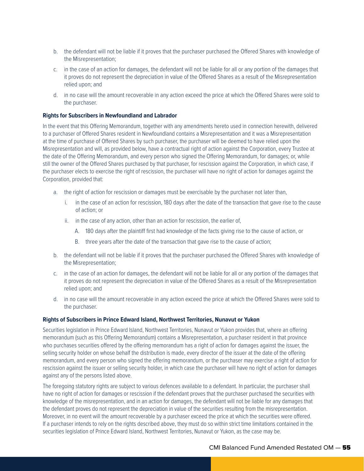- b. the defendant will not be liable if it proves that the purchaser purchased the Offered Shares with knowledge of the Misrepresentation;
- c. in the case of an action for damages, the defendant will not be liable for all or any portion of the damages that it proves do not represent the depreciation in value of the Offered Shares as a result of the Misrepresentation relied upon; and
- d. in no case will the amount recoverable in any action exceed the price at which the Offered Shares were sold to the purchaser.

#### **Rights for Subscribers in Newfoundland and Labrador**

In the event that this Offering Memorandum, together with any amendments hereto used in connection herewith, delivered to a purchaser of Offered Shares resident in Newfoundland contains a Misrepresentation and it was a Misrepresentation at the time of purchase of Offered Shares by such purchaser, the purchaser will be deemed to have relied upon the Misrepresentation and will, as provided below, have a contractual right of action against the Corporation, every Trustee at the date of the Offering Memorandum, and every person who signed the Offering Memorandum, for damages; or, while still the owner of the Offered Shares purchased by that purchaser, for rescission against the Corporation, in which case, if the purchaser elects to exercise the right of rescission, the purchaser will have no right of action for damages against the Corporation, provided that:

- a. the right of action for rescission or damages must be exercisable by the purchaser not later than,
	- i. in the case of an action for rescission, 180 days after the date of the transaction that gave rise to the cause of action; or
	- ii. in the case of any action, other than an action for rescission, the earlier of,
		- A. 180 days after the plaintiff first had knowledge of the facts giving rise to the cause of action, or
		- B. three years after the date of the transaction that gave rise to the cause of action;
- b. the defendant will not be liable if it proves that the purchaser purchased the Offered Shares with knowledge of the Misrepresentation;
- c. in the case of an action for damages, the defendant will not be liable for all or any portion of the damages that it proves do not represent the depreciation in value of the Offered Shares as a result of the Misrepresentation relied upon; and
- d. in no case will the amount recoverable in any action exceed the price at which the Offered Shares were sold to the purchaser.

#### **Rights of Subscribers in Prince Edward Island, Northwest Territories, Nunavut or Yukon**

Securities legislation in Prince Edward Island, Northwest Territories, Nunavut or Yukon provides that, where an offering memorandum (such as this Offering Memorandum) contains a Misrepresentation, a purchaser resident in that province who purchases securities offered by the offering memorandum has a right of action for damages against the issuer, the selling security holder on whose behalf the distribution is made, every director of the issuer at the date of the offering memorandum, and every person who signed the offering memorandum, or the purchaser may exercise a right of action for rescission against the issuer or selling security holder, in which case the purchaser will have no right of action for damages against any of the persons listed above.

The foregoing statutory rights are subject to various defences available to a defendant. In particular, the purchaser shall have no right of action for damages or rescission if the defendant proves that the purchaser purchased the securities with knowledge of the misrepresentation, and in an action for damages, the defendant will not be liable for any damages that the defendant proves do not represent the depreciation in value of the securities resulting from the misrepresentation. Moreover, in no event will the amount recoverable by a purchaser exceed the price at which the securities were offered. If a purchaser intends to rely on the rights described above, they must do so within strict time limitations contained in the securities legislation of Prince Edward Island, Northwest Territories, Nunavut or Yukon, as the case may be.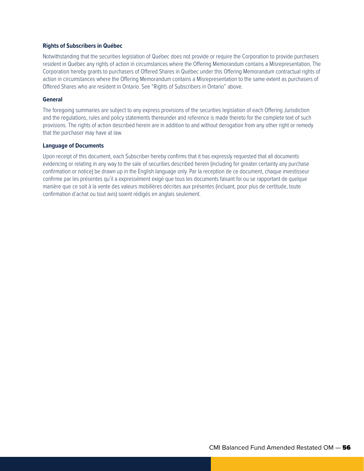#### **Rights of Subscribers in Québec**

Notwithstanding that the securities legislation of Québec does not provide or require the Corporation to provide purchasers resident in Québec any rights of action in circumstances where the Offering Memorandum contains a Misrepresentation, The Corporation hereby grants to purchasers of Offered Shares in Québec under this Offering Memorandum contractual rights of action in circumstances where the Offering Memorandum contains a Misrepresentation to the same extent as purchasers of Offered Shares who are resident in Ontario. See "Rights of Subscribers in Ontario" above.

#### **General**

The foregoing summaries are subject to any express provisions of the securities legislation of each Offering Jurisdiction and the regulations, rules and policy statements thereunder and reference is made thereto for the complete text of such provisions. The rights of action described herein are in addition to and without derogation from any other right or remedy that the purchaser may have at law.

#### **Language of Documents**

Upon receipt of this document, each Subscriber hereby confirms that it has expressly requested that all documents evidencing or relating in any way to the sale of securities described herein (including for greater certainty any purchase confirmation or notice) be drawn up in the English language only. Par la reception de ce document, chaque investisseur confirme par les présentes qu'il a expressément exigé que tous les documents faisant foi ou se rapportant de quelque manière que ce soit à la vente des valeurs mobilières décrites aux présentes (incluant, pour plus de certitude, toute confirmation d'achat ou tout avis) soient rédigés en anglais seulement.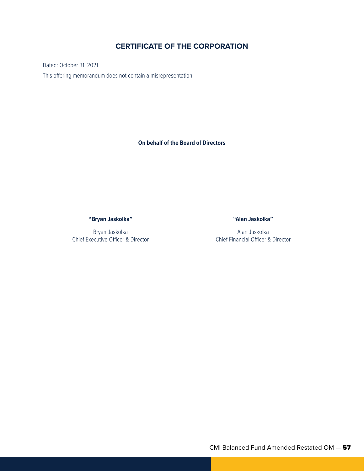## **CERTIFICATE OF THE CORPORATION**

Dated: October 31, 2021 This offering memorandum does not contain a misrepresentation.

**On behalf of the Board of Directors**

**"Bryan Jaskolka"**

Bryan Jaskolka Chief Executive Officer & Director **"Alan Jaskolka"**

Alan Jaskolka Chief Financial Officer & Director